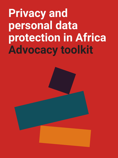# **Privacy and personal data protection in Africa Advocacy toolkit**

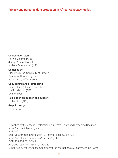#### Privacy and personal data protection in Africa: Advocacy toolkit

#### Coordination team

Koliwe Majama (APC) Janny Montinat (APC)

Anriette Esterhuysen (APC)

#### Compiled by

Hlengiwe Dube, University of Pretoria, Centre for Human Rights Avani Singh, ALT Advisory

#### Copy editing and proofreading

Lynne Stuart (Idea in a Forest) Lori Nordstrom (APC) Lynn Welburn

Publication production and support Cathy Chen (APC)

#### Graphic design

Monocromo

## Published by the African Declaration on Internet Rights and Freedoms Coalition

#### <https://africaninternetrights.org>

April 2021

Creative Commons Attribution 4.0 International (CC BY 4.0)

https://creativecommons.org/licenses/by/4.0

ISBN 978-92-95113-39-8

APC-202103-CIPP-T-EN-DIGITAL-329

Supported by the Deutsche Gesellschaft für Internationale Zusammenarbeit GmbH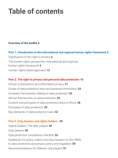## **Table of contents**

**Overview of the toolkit** 4

**[Part 1. Introduction to the international and regional human rights framework 6](#page-3-0)** [Significance of the right to privacy](#page-5-0) 6

[The human rights perspective: International and regional](#page-8-0) 

human rights framework 9 [Human rights-based approach](#page-11-0) 12

#### **[Part 2. The right to privacy and personal data protection](#page-15-0)** 16

[African constitutions and information privacy](#page-20-0) 21

[Guidelines for policy makers and duty bearers on the HRBA](#page-58-0)  to data protection and privacy policy and regulation 59

[Scope of data protection laws and personal information](#page-23-0) 24

[European frameworks relating to data protection](#page-25-0) 26

[African frameworks on data protection](#page-28-0) 29

[Content and principles of data protection laws in Africa](#page-37-0) 38

[Principles of data protection](#page-38-0) 39

[Key elements of data protection laws](#page-42-0) 43

#### **Part 3. [Duty bearers and rights holders](#page-48-0)** 49

[Rights holders: The data subject](#page-48-0) 49



#### [Data protection compliance checklist](#page-52-0) 53

[Recommendations for different role players](#page-69-0) 70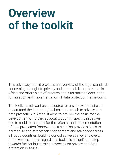## <span id="page-3-0"></span>**Overview of the toolkit**

This advocacy toolkit provides an overview of the legal standards concerning the right to privacy and personal data protection in Africa and offers a set of practical tools for stakeholders in the formulation and implementation of data protection frameworks.

The toolkit is relevant as a resource for anyone who desires to understand the human rights-based approach to privacy and data protection in Africa. It aims to provide the basis for the development of further advocacy, country specific initiatives and to mobilise support for the reforms and implementation of data protection frameworks. It can also provide a basis to harmonise and strengthen engagement and advocacy across all focus countries, building our collective agency and overall effectiveness. In this regard, this toolkit is a significant step towards further buttressing advocacy on privacy and data protection in Africa.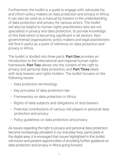Furthermore, the toolkit is a guide to engage with, advocate for, and inform policy makers on data protection and privacy in Africa. It can also be used as a manual by trainers in the understanding of data protection and privacy for various actors. The toolkit will also be helpful to human rights practitioners who are not specialists in privacy and data protection, to provide knowledge of this field which is becoming significant in all sectors. Nongovernmental organisations, policy makers and legal practitioners will find it useful as a point of reference on data protection and privacy in Africa.

The toolkit is divided into three parts: **Part One** provides an introduction to the international and regional human rights framework; **Part Two** delves into the content of the right to privacy and personal data protection; and Part Three deals with duty bearers and rights holders. The toolkit focuses on the following issues:

- Data protection terminology
- Key principles of data protection law
- Frameworks on data protection in Africa
- Rights of data subjects and obligations of duty-bearers
- Potential contributions of various role players in personal data protection and privacy
- Policy guidelines on data protection and privacy.

As issues regarding the right to privacy and personal data protection become increasingly prevalent in our everyday lives, particularly in the digital area, it is envisaged that issues highlighted in this toolkit will evolve and present opportunities of providing further guidance on data protection and privacy in Africa going forward.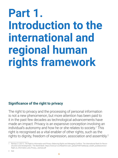# <span id="page-5-0"></span>**Part 1. Introduction to the international and regional human rights framework**

The right to privacy and the processing of personal information is not a new phenomenon, but more attention has been paid to it in the past few decades as technological advancements have made an impact. Privacy is an expansive conception involving an individual's autonomy and how he or she relates to society.1 This right is recognised as a vital enabler of other rights, such as the rights to dignity, freedom of expression, association and assembly.<sup>2</sup>

## **Significance of the right to privacy**

1 Banisar, D. (2011). *The Right to Information and Privacy: Balancing Rights and Managing Conflicts*. The International Bank for Reconstruction and Development / The World Bank. [https://www.ip-rs.si/fileadmin/user\\_upload/Pdf/Publikacije\\_ostalih\\_pooblascencev/](https://www.ip-rs.si/fileadmin/user_upload/Pdf/Publikacije_ostalih_pooblascencev/Right_to_Information_and_Privacy__banisar.pdf) [Right\\_to\\_Information\\_and\\_Privacy\\_\\_banisar.pdf](https://www.ip-rs.si/fileadmin/user_upload/Pdf/Publikacije_ostalih_pooblascencev/Right_to_Information_and_Privacy__banisar.pdf)

2 Ibid.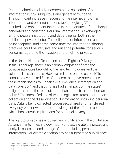Due to technological advancements, the collection of personal information is now ubiquitous and generally mundane. The significant increase in access to the internet and other information and communications technologies (ICTs) has resulted in a consequent increase in the quantities of data being generated and collected. Personal information is exchanged among people, institutions and departments, both in the public and private sector. The collection of information can be inescapable, and at the same time the information sharing practices could be intrusive and raise the potential for serious concerns regarding the invasion of the right to privacy.

In the United Nations Resolution on the Right to Privacy in the Digital Age, there is an acknowledgment of both the positive attributes brought by the new technologies and the vulnerabilities that arise. However, reliance on and use of ICTs cannot be overlooked.<sup>3</sup> It is of concern that governments use these technologies to "undertake surveillance, interception and data collection" and that this has had an impact on the states' obligations as to the respect, protection and fulfilment of human rights.4 The intensified use of technologies facilitates information collection and the dissemination of information, including personal data. Data is being collected, processed, shared and transferred every day, with or without the knowledge of the affected persons, which has serious implications for personal privacy.

The right to privacy has acquired new significance in the digital age. Advancements in technology modify and accelerate the processing,

### analysis, collection and storage of data, including personal information. For example, technology has augmented surveillance

3 United Nations. (2014, 21 January). The Right to Privacy in the Digital Age. General Assembly resolution 68/167 A/RES/68/167. <https://undocs.org/pdf?symbol=en/A/RES/68/167>

4 Ibid.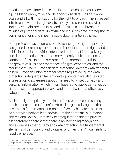practices, necessitated the establishment of databases, made it possible to anonymise and de-anonymise data – all on a wide scale and all with implications for the right to privacy. The increased interference with this right exists mostly in environments with limited oversight mechanisms and it results in data breaches, misuse of personal data, unlawful and indiscriminate interception of communications and impermissible data retention policies.

Data protection as a cornerstone to realising the right to privacy has gained increasing traction as an important human rights and public interest issue. Africa intensified its interest in the privacy and data protection discourse more recently, a bit later than other continents.5 This interest stemmed from, among other things, the growth of ICTs, the emergence of digital economies, and the requirement under European data protection law that data transfers to non-European Union member states require adequate data protection safeguards.<sup>6</sup> Recent developments have also resulted in greater civic awareness about the need to protect privacy and personal information, which in turn have led to public demands by civil society for appropriate laws and protections that effectively safeguard this right.

While the right to privacy remains an "elusive concept, resulting in much debate and confusion" in Africa, it is generally agreed that privacy is a fundamental human right.7 As such, there is seen to be a growing body of legal norms – at the domestic, sub-regional and regional levels – that seek to safeguard the right to privacy. It is therefore apparent that there is an increasing recognition and awareness that privacy and data protection are fundamental

### elements of democracy and digital economies that Africa needs to rapidly embrace.

5 Makulilo, A. B. (2012). Privacy and data protection in Africa: a state of the art. *International Data Privacy La*w*, 2*(3)*,* 163-178. [https://www.researchgate.net/publication/273026565\\_Privacy\\_and\\_data\\_protection\\_in\\_Africa\\_a\\_state\\_of\\_the\\_art](https://www.researchgate.net/publication/273026565_Privacy_and_data_protection_in_Africa_a_state_of_the_art)

6 Ibid.

7 Gondwe, M. (2011). *The Protection of Privacy in the Workplace: A Comparative Study*. PhD Thesis, Stellenbosch University.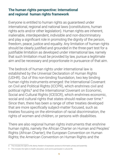### <span id="page-8-0"></span>**The human rights perspective: International and regional human rights framework**

Everyone is entitled to human rights as guaranteed under international, regional and national laws (constitutions, human rights acts and/or other legislation). Human rights are inherent, inalienable, interdependent, indivisible and non-discriminatory and play a significant role in promoting the dignity of the person, freedom, peace, justice and equality. Any limitation of human rights should be clearly justified and grounded in the three-part test for a justifiable limitation as developed under international law, namely that such limitation must be provided by law, pursue a legitimate aim and be necessary and proportionate in pursuance of that aim.

The bedrock of human rights under international law is established by the Universal Declaration of Human Rights (UDHR). Out of this non-binding foundation, two key binding human rights instruments emerged: the International Covenant on Civil and Political Rights (ICCPR), which enshrines civil and political rights;<sup>8</sup> and the International Covenant on Economic, Social and Cultural Rights (ICESCR), which enshrines economic, social and cultural rights that states should realise over time.<sup>9</sup> Since then, there has been a range of other treaties developed that are more specifically subject-matter focused, such as treaties focusing on the elimination of racial discrimination, the rights of women and children, or persons with disabilities.

There are also regional human rights instruments that enshrine

### human rights, namely the African Charter on Human and Peoples' Rights (African Charter); the European Convention on Human Rights; the American Convention on Human Rights and the

8 This includes the rights to life, liberty, freedom of expression, access to information, privacy and assembly.

9 This includes the rights to health, education, work and to participate in cultural life.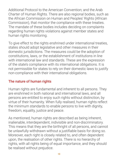Additional Protocol to the American Convention; and the Arab Charter of Human Rights. There are also regional bodies, such as the African Commission on Human and Peoples' Rights (African

Commission), that monitor the compliance with these treaties. The mandate of these bodies includes deciding on complaints regarding human rights violations against member states and human rights monitoring.

To give effect to the rights enshrined under international treaties, states should adopt legislative and other measures in their domestic jurisdictions. The measures could be the adoption of constitutions, laws, or the establishment of institutions in line with international law and standards. These are the expression of the state's compliance with its international obligations. It is not permissible for states to rely on their domestic laws to justify non-compliance with their international obligations.

## The nature of human rights

Human rights are fundamental and inherent to all persons. They are enshrined in both national and international laws, and all persons are entitled to enjoy such rights without distinction, by virtue of their humanity. When fully realised, human rights reflect the minimum standards to enable persons to live with dignity, freedom, equality, justice and peace.

As mentioned, human rights are described as being inherent, inalienable, interdependent, indivisible and non-discriminatory. This means that they are the birthright of all persons, and cannot

be unlawfully withdrawn without a justifiable basis for doing so. Moreover, each right is closely related to, and often dependent upon, the realisation of other rights. There is no hierarchy of rights, with all rights being of equal importance, and they should be realised without prejudice.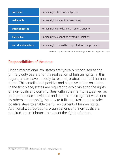#### Responsibilities of the state

Under international law, states are typically recognised as the primary duty bearers for the realisation of human rights. In this regard, states have the duty to respect, protect and fulfil human rights. This entails both positive and negative duties on states. In the first place, states are required to avoid violating the rights of individuals and communities within their territories, as well as to protect those individuals and communities against violations by others. Importantly, the duty to fulfil requires states to take positive steps to enable the full enjoyment of human rights. Additionally, corporations, organisations and individuals are required, at a minimum, to respect the rights of others.

| <b>Universal</b>          | Human rights belong to all people                  |
|---------------------------|----------------------------------------------------|
| <b>Inalienable</b>        | Human rights cannot be taken away                  |
| <b>Interconnected</b>     | Human rights are dependent on one another          |
| <b>Indivisible</b>        | Human rights cannot be treated in isolation        |
| <b>Non-discriminatory</b> | Human rights should be respected without prejudice |

Source: The Advocates for Human Rights: Human Rights Basics<sup>10</sup>

<sup>10</sup> [http://www.theadvocatesforhumanrights.org/human\\_rights\\_basics](http://www.theadvocatesforhumanrights.org/human_rights_basics)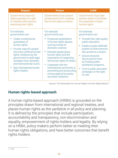## **Human rights-based approach**

A human rights-based approach (HRBA) is grounded on the principles drawn from international and regional treaties, and places human rights as the yardstick in all policy and planning. It is defined by the principles that include participation, accountability and transparency, non-discrimination and equality, empowerment of rights holders and legality. By relying on a HRBA, policy makers perform better at meeting their

## human rights obligations, and have better outcomes that benefit rights holders.

11 Ibid.

- 
- Sign international human rights treaties.
- Cooperate with the international community in preventing and prosecuting crimes against humanity and other violations.
- assistance programs.
- Fund a public education campaign on the right to vote.

Source: The Advocates for Human Rights: Human Rights Basics<sup>11</sup>

<span id="page-11-0"></span>

| <b>Respect</b>                                                                                                                                                                        | <b>Protect</b>                                                                                                                | <b>Fulfill</b>                                                                                               |
|---------------------------------------------------------------------------------------------------------------------------------------------------------------------------------------|-------------------------------------------------------------------------------------------------------------------------------|--------------------------------------------------------------------------------------------------------------|
| Governments must not<br>deprive people of a right<br>or interfere with persons<br>exercising their rights.                                                                            | Governments must prevent<br>private actors from violating<br>the human rights of others.                                      | Governments must take<br>positive action to facilitate<br>the enjoyment of basic<br>human rights.            |
| For example,<br>governments can:                                                                                                                                                      | For example,<br>governments can:                                                                                              | For example,<br>governments can:                                                                             |
| • Create constitutional<br>guarantees of                                                                                                                                              | • Prosecute perpetrators<br>of human rights abuses,                                                                           | • Provide free, high-quality<br>public education.                                                            |
| human rights.<br>• Provide ways for people<br>who have suffered human<br>rights violations by the<br>government to seek legal<br>remedies from domestic<br>and internactional courts. | such as crimes of<br>domestic violence.                                                                                       | Create a public defender<br>system so that everyone                                                          |
|                                                                                                                                                                                       | Educate people about<br>human rights and the<br>importance of respecting<br>the human rights of others.<br>Cooperate with the | has access to a lawyer.<br>Ensure everyone<br>has access to food<br>by funding public<br>assistance programs |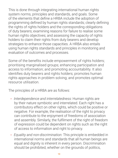This is done through integrating international human rights system norms, principles and standards, and goals. Some of the elements that define a HRBA include the adoption of programming defined by human rights standards; clearly defining the rights of rights holders and the corresponding obligations of duty bearers; examining reasons for failure to realise some human rights objectives; and assessing the capacity of rights holders to claim their rights from duty bearers and develop strategies to enhance those capacities. A HRBA also entails using human rights standards and principles in monitoring and evaluation of outcomes and processes.

Some of the benefits include empowerment of rights holders; prioritising marginalised groups; enhancing participation and access to information; and promoting accountability. It also identifies duty bearers and rights holders; promotes human rights approaches in problem solving; and promotes optimal resource utilisation.

The principles of a HRBA are as follows:

*• Interdependence and interrelatedness:* Human rights are by their nature symbiotic and interrelated. Each right has a contributory effect on other rights, which could be positive or negative. For example, the realisation of the right to privacy can contribute to the enjoyment of freedoms of association and assembly. Similarly, the fulfilment of the right of freedom of expression could be dependent on rights such as the right

#### of access to information and right to privacy.

*• Equality and non-discrimination:* This principle is embedded in international norms and standards that all human beings are equal and dignity is inherent in every person. Discrimination should be prohibited, whether on the grounds of politics,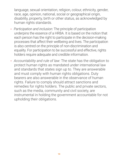

language, sexual orientation, religion, colour, ethnicity, gender, race, age, opinion, national, social or geographical origin, disability, property, birth or other status, as acknowledged by human rights standards.

- *• Participation and inclusion:* The principle of participation underpins the essence of a HRBA. It is based on the notion that each person has the right to participate in the decision-making processes that affect their wellbeing and lives. The participation is also centred on the principle of non-discrimination and equality. For participation to be successful and effective, rights holders require adequate and credible information.
- *• Accountability and rule of law:* The state has the obligation to

protect human rights as mandated under international law and standards that states sign up to. They are answerable and must comply with human rights obligations. Duty bearers are also answerable in the observance of human rights. Failure to comply should attract sanctions and remedies for rights holders. The public and private sectors, such as the media, community and civil society, are instrumental in holding the government accountable for not upholding their obligations.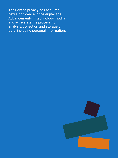The right to privacy has acquired new significance in the digital age. Advancements in technology modify and accelerate the processing, analysis, collection and storage of data, including personal information.



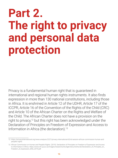# <span id="page-15-0"></span>**Part 2. The right to privacy and personal data protection**

Privacy is a fundamental human right that is guaranteed in international and regional human rights instruments. It also finds expression in more than 130 national constitutions, including those in Africa. It is enshrined in Article 12 of the UDHR, Article 17 of the ICCPR, Article 16 of the Convention of the Rights of the Child (CRC) and Article 10 of the African Charter on the Rights and Welfare of the Child. The African Charter does not have a provision on the right to privacy,<sup>12</sup> but this right has been acknowledged under the Declaration of Principles on Freedom of Expression and Access to

#### Information in Africa (the declaration).<sup>13</sup>

- 12 [https://privacyinternational.org/news-analysis/2227/privacy-international-62nd-session-african-commission-human-and](https://privacyinternational.org/news-analysis/2227/privacy-international-62nd-session-african-commission-human-and-peoples-rights)[peoples-rights](https://privacyinternational.org/news-analysis/2227/privacy-international-62nd-session-african-commission-human-and-peoples-rights)
- 13 African Commission on Human and People's Rights. (2019). Declaration of Principles on Freedom of Expression and Access to Information in Africa. [https://www.chr.up.ac.za/images/researchunits/dgdr/documents/ati/Declaration\\_of\\_Principles\\_on\\_](https://www.chr.up.ac.za/images/researchunits/dgdr/documents/ati/Declaration_of_Principles_on_Freedom_of_Expression_ENG_2019.pdf) [Freedom\\_of\\_Expression\\_ENG\\_2019.pdf](https://www.chr.up.ac.za/images/researchunits/dgdr/documents/ati/Declaration_of_Principles_on_Freedom_of_Expression_ENG_2019.pdf)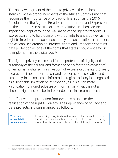The acknowledgment of the right to privacy in the declaration stems from the pronouncements of the African Commission that recognise the importance of privacy online, such as the 2016 Resolution on the Right to Freedom of Information and Expression on the Internet.<sup>14</sup> In particular, this resolution emphasised the importance of privacy in the realisation of the right to freedom of expression and to hold opinions without interference, as well as the right to freedom of peaceful assembly and association. In addition, the African Declaration on Internet Rights and Freedoms contains data protection as one of the rights that states should endeavour to implement in the digital age.<sup>15</sup>

The right to privacy is essential for the protection of dignity and autonomy of the person, and forms the basis for the enjoyment of other human rights such as freedom of expression, the right to seek, receive and impart information, and freedoms of association and assembly. In the access to information regime, privacy is recognised as a justifiable limitation or "exemption", as it is a legitimate justification for non-disclosure of information. Privacy is not an absolute right and can be limited under certain circumstances.

An effective data protection framework is crucial to the realisation of the right to privacy. The importance of privacy and data protection is summarised as follows:

| <b>To ensure</b> |
|------------------|
| accountability   |
| for data misuse  |

Privacy, being recognised as a fundamental human right, forms the basis for providing remedies in cases of violations and establishing privacy laws that guarantee the protection of the right to privacy.

14 For adopted resolutions of the African Commission on Human and Peoples' Rights see<https://www.achpr.org/adoptedresolution> 15 <https://africaninternetrights.org/sites/default/files/African-Declaration-English-FINAL.pdf>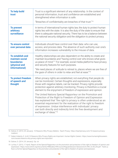| <b>To help build</b><br>trust                                          | Trust is a significant element of any relationship. In the context of<br>personal information, trust and confidence are established and<br>strengthened when information is safe.<br>"Breaches of confidentiality are breaches of that trust." <sup>16</sup>                                              |
|------------------------------------------------------------------------|-----------------------------------------------------------------------------------------------------------------------------------------------------------------------------------------------------------------------------------------------------------------------------------------------------------|
| <b>To prevent</b><br>arbitrary<br>surveillance                         | In terms of international human rights law, the duty to protect human<br>rights lies with the state. It is also the duty of the state to ensure that<br>there is adequate national security. There has to be a balance between<br>the national security obligation and the obligation to protect privacy. |
| To ensure control<br>over personal data                                | Individuals should have control over their data: who can use,<br>access, and process data. The absence of such authority over one's<br>information increases vulnerability to the misuse of data.                                                                                                         |
| <b>To establish and</b><br><b>maintain social</b><br><b>boundaries</b> | Healthy relationships are also dependent on the ability to create and<br>maintain boundaries and "having control over who knows what gives<br>us peace of mind." <sup>17</sup> For example, social media platforms have privacy                                                                           |

| <b>(physical and</b><br>informational)                | and security features for such purposes.                                                                                                                                                                                                                                                                                                                                                                                                     |
|-------------------------------------------------------|----------------------------------------------------------------------------------------------------------------------------------------------------------------------------------------------------------------------------------------------------------------------------------------------------------------------------------------------------------------------------------------------------------------------------------------------|
|                                                       | "We need places of solitude to retreat to, places where we are free of<br>the gaze of others in order to relax and feel at ease."18                                                                                                                                                                                                                                                                                                          |
| <b>To protect freedom</b><br>of speech and<br>thought | When privacy rights are established, not everything that people do<br>can be monitored. Certain thoughts and expressions, especially<br>those with negative labels, can be tracked. Privacy rights provide<br>protection against arbitrary monitoring. Privacy is therefore a crucial<br>element to the enjoyment of freedom of expression and opinion.                                                                                      |
|                                                       | The United Nations Special Rapporteur on the Promotion and<br>Protection of the Right to Freedom of Opinion and Expression<br>has explained that "the right to privacy is often understood as an<br>essential requirement for the realization of the right to freedom<br>of expression. Undue interference with individuals' privacy<br>can both directly and indirectly limit the free development and<br>exchange of ideas." <sup>19</sup> |

16 Solove, D. (2014, 20 January). 10 Reasons Why Privacy Matters. *Teach Privacy*. [https://teachprivacy.com/10-reasons-privacy](https://teachprivacy.com/10-reasons-privacy-matters/)[matters/](https://teachprivacy.com/10-reasons-privacy-matters/)

17 Soken-Huberty, E. (n/d).10 Reasons Why Privacy Rights are Important. *Human Rights Careers*. [https://www.humanrightscareers.](https://www.humanrightscareers.com/issues/reasons-why-privacy-rights-are-important/) [com/issues/reasons-why-privacy-rights-are-important/](https://www.humanrightscareers.com/issues/reasons-why-privacy-rights-are-important/)

18 Solove, D. (2014, 20 January). Op. cit.

19 La Rue, F. (2013, 17 April). Report of the Special Rapporteur on the promotion and protection of the right to freedom of opinion and expression. [https://www.ohchr.org/Documents/HRBodies/HRCouncil/RegularSession/Session23/A.HRC.23.40\\_EN.pdf](https://www.ohchr.org/Documents/HRBodies/HRCouncil/RegularSession/Session23/A.HRC.23.40_EN.pdf) Frank La Rue is a former Special Rapporteur on the promotion and protection of the right to freedom of opinion and expression.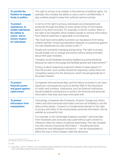"Certainly, not all misdeeds should be shielded, but some should be, because we want to encourage and facilitate growth and improvement."<sup>21</sup>

| To provide the<br>freedom to engage<br>freely in politics                                                                          | The right to privacy is an enabler in the exercise of political rights. For<br>example, this includes the ability to cast a vote in confidentiality. It<br>also enables people to keep their political opinions private.                                                                                                                   |
|------------------------------------------------------------------------------------------------------------------------------------|--------------------------------------------------------------------------------------------------------------------------------------------------------------------------------------------------------------------------------------------------------------------------------------------------------------------------------------------|
| <b>To protect</b><br>reputations, to<br>enable individuals<br>the ability to<br>evolve and to<br>ensure respect<br>for individuals | In terms of the right to privacy, individuals are empowered and<br>protected through the ability to have certain kinds of information<br>about or by them removed. For example, in the EU context, there is<br>the right to be forgotten which enables people to remove information<br>from internet searches in applicable circumstances. |
|                                                                                                                                    | "We must have some ability to protect our reputations from being<br>unfairly harmed. Protecting reputation depends on protecting against<br>not only falsehoods but also certain truths."20                                                                                                                                                |
|                                                                                                                                    | People are constantly changing and growing. The right to privacy<br>should enable one to change and evolve without being reminded<br>about their past mistakes.                                                                                                                                                                            |
|                                                                                                                                    | "Certainly not all misdeeds should be shielded but some should be                                                                                                                                                                                                                                                                          |

|                                                                                  | Privacy is about respecting a person's desire to keep aspects of<br>their life private. Such wishes should be respected, unless there are<br>compelling reasons for the disclosure, which should generally be in<br>the public interest.                                                                                                   |
|----------------------------------------------------------------------------------|--------------------------------------------------------------------------------------------------------------------------------------------------------------------------------------------------------------------------------------------------------------------------------------------------------------------------------------------|
| <b>To protect</b><br><b>financial assets</b><br>and guard against<br>cybercrimes | Companies store personal data, and the failure to protect it can have<br>disastrous consequences such as identity theft or the disclosure<br>of credit card numbers. Institutions, such as financial institutions,<br>should establish mechanisms to protect the financial and personal<br>information that they have been entrusted with. |
| <b>To protect</b><br>information from<br>manipulation                            | Technology companies like Facebook, Amazon, Google and others<br>collect and store personal information and are not entitled to use the<br>data as they please. Consent is a fundamental element of the right<br>to privacy and when in the wrong hands, personal information can be<br>wielded as a powerful tool.                        |
|                                                                                  | For example, in the Cambridge Analytica scandal, <sup>22</sup> personal data<br>from Facebook user accounts was used without user consent to<br>influence voters by means of political advertising. This has revealed<br>how the misuse of personal information - including personal                                                       |

preferences and ideological inclinations – can be manipulated to affect the way in which people make key decisions.

20 Solove, D. (2014, 20 January). Op. cit.

21 Ibid.

22 Lapowsky, I. (2019,17 March). How Cambridge Analytica Sparked the Great Privacy Awakening. *Wired*. [https://www.wired.com/](https://www.wired.com/story/cambridge-analytica-facebook-privacy-awakening/) [story/cambridge-analytica-facebook-privacy-awakening/](https://www.wired.com/story/cambridge-analytica-facebook-privacy-awakening/)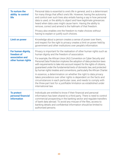

| To nurture the<br>ability to control<br><b>life</b>                       | Personal data is essential to one's life in general, and is a determinant<br>for many things that affect one's life. However, having the autonomy<br>and control over such lives also entails having a say in how personal<br>data is used, or the ability to object and have legitimate grievances<br>heard when data uses might cause harm. Having the ability to<br>remove, correct and amend is the hallmark of that freedom.<br>Privacy also enables one the freedom to make choices without<br>having to explain or justify such choices.                                                                                                                                                                                                                                                                           |
|---------------------------------------------------------------------------|---------------------------------------------------------------------------------------------------------------------------------------------------------------------------------------------------------------------------------------------------------------------------------------------------------------------------------------------------------------------------------------------------------------------------------------------------------------------------------------------------------------------------------------------------------------------------------------------------------------------------------------------------------------------------------------------------------------------------------------------------------------------------------------------------------------------------|
| <b>Limit on power</b>                                                     | Knowledge about a person creates a sense of power over them,<br>and respect for the right to privacy creates a limit on power held by<br>government and other institutions over people's information.                                                                                                                                                                                                                                                                                                                                                                                                                                                                                                                                                                                                                     |
| For human dignity,<br>freedom of<br>association and<br>other human rights | Privacy is important for the realisation of other human rights such as<br>human dignity and the freedom of association.<br>For example, the African Union (AU) Convention on Cyber Security and<br>Personal Data Protection implores the adoption of data protection laws<br>with requirements to take into account respect for the rights of citizens,<br>guaranteed under the fundamental texts of domestic law, and protected<br>by human rights treaties and conventions, particularly the African Charter.<br>In essence, a determination on whether the right to data privacy<br>takes precedence over other rights is dependent on the facts and<br>circumstances in each particular case, and needs to comply with<br>the three-part test for a justifiable limitation as established under<br>international law. |
| <b>To protect</b><br><b>personal financial</b><br><b>information</b>      | Individuals are entitled to know if their financial and personal<br>information has been shared to a third party. There is need to control<br>commercial prospecting in the banking sector and regulate transfers<br>of bank data abroad. To avoid any misuse of the files, access to<br>banking details and confidential information should be limited to<br>authorised persons.                                                                                                                                                                                                                                                                                                                                                                                                                                         |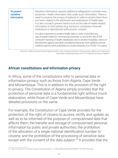#### <span id="page-20-0"></span>**To protect sensitive information**

Sensitive information requires additional safeguards to provide more protection. Health information falls under such information. There is need to preserve the privacy of patients in order to protect them from any harm related to the disclosure and exploitation of health data. It is also crucial to prevent harms such as the sale of health-related information to third parties (e.g. insurance companies, financial institutions or laboratories) without prior consent.

It is also important to protect health data in order to prohibit any use of patient data for commercial purposes; to avoid the risk of the computer hacking of health databases and to protect hospitals, clinics or laboratories against possible complaints/lawsuits from patients whose medical reports were published on social networks (i.e. COVID-19 cases).

For example, the Constitution of Cape Verde provides for the protection of the right of citizens to access, rectify and update, as well as to be informed of the purpose of, computerised data that affects them; the transfer and storage of computerised personal information by public and private authorities; the prohibition of the allocation of a single national identification number to citizens; and the prohibition of the processing of sensitive data except with the consent of the data subject.<sup>23</sup> It provides that the

Sources: [https://www.humanrightscareers.com/issues/reasons-why-privacy-rights-are-important](https://www.humanrightscareers.com/issues/reasons-why-privacy-rights-are-important/)  and [https://teachprivacy.com/10-reasons-privacy-matters](https://teachprivacy.com/10-reasons-privacy-matters/) 

#### **African constitutions and information privacy**

In Africa, some of the constitutions refer to personal data or information privacy, such as those from Algeria, Cape Verde and Mozambique. This is in addition to the provision of the right to privacy. The Constitution of Algeria simply provides that the protection of personal data is a fundamental right without much elaboration, while those of Cape Verde and Mozambique have detailed provisions on the same.

<sup>23</sup> <http://constitutions.unwomen.org/en/countries/africa/~/media/983cd3b8346a4d53b9e116676bff7363.ashx>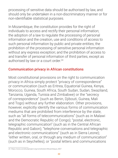In Mozambique, the constitution provides for the right of individuals to access and rectify their personal information; the adoption of a law to regulate the processing of personal information and the creation, use and conditions of access to such personal information by public and private entities; the prohibition of the processing of sensitive personal information without any express exception; and the prohibition of access to and transfer of personal information of third parties, except as authorised by law or a court order.<sup>24</sup>

processing of sensitive data should be authorised by law, and should only be undertaken in a non-discriminatory manner or for non-identifiable statistical purposes.

#### Communication privacy in African constitutions

Most constitutional provisions on the right to communication privacy in Africa simply protect "privacy of correspondence" or communication (such as Eritrea, Equatorial Guinea, Kenya, Morocco, Guinea, South Africa, South Sudan, Sudan, Swaziland, Tanzania, Uganda, Tunisia and Zimbabwe) or the "secrecy of correspondence" (such as Benin, Djibouti, Guinea, Mali and Togo) without any further elaboration. Other provisions, however, explicitly identify the various forms of communication mediums that are prohibited from interference by the state, such as "all forms of telecommunications" (such as in Malawi and the Democratic Republic of Congo); "postal, electronic, telegraphic communication" (such as in the Central African Republic and Gabon); "telephone conversations and telegraphic and electronic communications" (such as in Sierra Leone); "either written, oral, or through any medium of communication" (such as in Seychelles); or "postal letters and communications

<sup>24</sup> [https://www.constituteproject.org/constitution/Mozambique\\_2007](https://www.constituteproject.org/constitution/Mozambique_2007)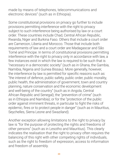made by means of telephones, telecommunications and electronic devices" (such as in Ethiopia).

Some constitutional provisions on privacy go further to include provisions permitting interference with the right to privacy subject to such interference being authorised by law or a court order. These countries include Chad, Central African Republic, Rwanda, Niger and Burkina Faso. Others that include a court order are Cameroon, Liberia and Morocco. Those that include both requirements of law and a court order are Madagascar and São Tomé and Principe. In terms of constitutional provisions permitting interference with the right to privacy only in accordance with law, a few instances exist in which the law is required to be such that is "necessary in a democratic society" (such as in Ghana, the Gambia, Namibia, Nigeria and Guinea Bissau). More generally, however, the interference by law is permitted for specific reasons such as: "the interest of defence, public safety, public order, public morality, public health, the administration of government, town and country planning, nature conservation and the economic development and well-being of the country" (such as in Angola, Central African Republic and Senegal); the "prevention of crime" (such as in Ethiopia and Namibia); or for the "protection of the public order against imminent threats, in particular to fight the risks of epidemic, fires or to protect people in danger" (such as in Mauritius, Seychelles, Sierra Leone and Swaziland).

Another exception allowing limitations to the right to privacy by law is "for the purpose of protecting the rights and freedoms of other persons" (such as in Lesotho and Mauritius). This clearly indicates the realisation that the right to privacy often requires the balancing of this right with other competing rights of individuals, such as the right to freedom of expression, access to information and freedom of assembly.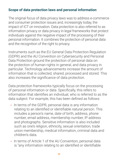#### <span id="page-23-0"></span>**Scope of data protection laws and personal information**

The original focus of data privacy laws was to address e-commerce and consumer protection issues and, increasingly today, the impact of ICT on innovation. Data protection is also referred to as information privacy or data privacy in legal frameworks that protect individuals against the negative impact of the processing of their personal information. It combines the protection of personal data and the recognition of the right to privacy.

Instruments such as the EU General Data Protection Regulation (GDPR) and the AU Convention on Cybersecurity and Personal Data Protection ground the protection of personal data on the protection of human rights in general, and data privacy in particular. Technology advancements increase the amount of information that is collected, shared, processed and stored. This also increases the significance of data protection.

• In terms of the GDPR, personal data is any information relating to an identified or identifiable natural person. This includes a person's name, date of birth, address, phone number, email address, membership number, IP address and photographs. Sensitive information is also included such as one's religion, ethnicity, sexual orientation, trade

• In terms of Article 1 of the AU Convention, personal data is "any information relating to an identified or identifiable

Data protection frameworks typically focus on the processing of personal information or data. Specifically, this refers to information that identifies an individual, who is referred to as the data subject. For example, this has been defined as follows:

## union membership, medical information, criminal data and children's data.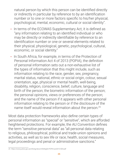natural person by which this person can be identified directly or indirectly in particular by reference to by an identification number or to one or more factors specific to his/her physical, psychological, mental, economic, cultural or social identity".

- In terms of the ECOWAS Supplementary Act, it is defined as "any information relating to an identified individual or who may be directly or indirectly identifiable by reference to an identification number or one or several elements related to their physical, physiological, genetic, psychological, cultural, economic, or social identity."
- In South Africa, for example, in terms of the Protection of Personal Information Act 4 of 2013 (POPIA), the definition

of personal information sets out a non-exhaustive list of the types of information that this might include, such as information relating to the race, gender, sex, pregnancy, marital status, national, ethnic or social origin, colour, sexual orientation, age, physical or mental health, well-being, disability, religion, conscience, belief, culture, language and birth of the person; the biometric information of the person; the personal opinions, views or preferences of the person; and the name of the person if it appears with other personal information relating to the person or if the disclosure of the name itself would reveal information about the person.<sup>25</sup>

Most data protection frameworks also define certain types of personal information as "special" or "sensitive", which are afforded heightened protections. For example, the AU Convention defines the term "sensitive personal data" as "all personal data relating to religious, philosophical, political and trade-union opinions and activities, as well as to sex life or race, health, social measures, legal proceedings and penal or administrative sanctions."

<sup>25</sup> <https://www.justice.gov.za/inforeg/docs/InfoRegSA-POPIA-act2013-004.pdf>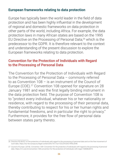#### <span id="page-25-0"></span>**European frameworks relating to data protection**

Europe has typically been the world leader in the field of data protection and has been highly influential in the development of regional and domestic frameworks on data protection in other parts of the world, including Africa. For example, the data protection laws in many African states are based on the 1995 EU Directive on the Processing of Personal Data,<sup>26</sup> which is the predecessor to the GDPR. It is therefore relevant to the context and understanding of the present discussion to explore the European frameworks relating to data protection.

### Convention for the Protection of Individuals with Regard to the Processing of Personal Data

The Convention for the Protection of Individuals with Regard to the Processing of Personal Data – commonly referred to as Convention 108 – is an instrument of the Council of Europe (COE).27 Convention 108 opened for signature on 28 January 1981 and was the first legally binding instrument in the data protection field. The purpose of Convention 108 is to "protect every individual, whatever his or her nationality or residence, with regard to the processing of their personal data, thereby contributing to respect for his or her human rights and fundamental freedoms, and in particular the right to privacy." Furthermore, it provides for the free flow of personal data between states party thereto.

26 Directive 95/46/EC on the protection of individuals with regard to the processing of personal data and on the free movement of such data.<https://eur-lex.europa.eu/legal-content/EN/TXT/?uri=CELEX%3A31995L0046>

27 Council of Europe. (2018). *Convention 108+ Convention for the protection of individuals with regard to the processing of personal data*. [https://rm.coe.int/convention-108-convention-for-the-protection-of-individuals-with-regar/16808b36f1h](https://rm.coe.int/convention-108-convention-for-the-protection-of-individuals-with-regar/16808b36f1)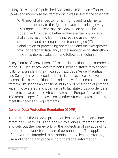In May 2018, the COE published Convention 108+ in an effort to update and modernise the framework. It was noted at the time that:

[W]ith new challenges to human rights and fundamental freedoms, notably to the right to private life, arising every day, it appeared clear that the Convention should be modernised in order to better address emerging privacy challenges resulting from the increasing use of new information and communication technologies (IT), the globalisation of processing operations and the ever greater flows of personal data, and, at the same time, to strengthen the Convention's evaluation and follow-up mechanism.

The GPDR is the EU data protection legislation.<sup>28</sup> It came into effect on 25 May 2018 and applies to every EU member state and sets out the framework for the protection of privacy rights and the framework for the use of personal data. The application of the GDPR is intended to harmonise the collection, storage, use and sharing and processing of personal information

A key feature of Convention 108 is that, in addition to the members of the COE, it also provides that non-European states may accede to it. For example, in the African context, Cape Verde, Mauritius and Senegal have acceded to it. This is of relevance for several reasons: it is a recognition of the adequacy of their data protection frameworks; it adds an additional bulwark of protection of persons within those states; and it can serve to facilitate cross-border data transfers between those African states and Europe. Convention 108 remains open for accession by other African states that may meet the necessary requirements.

### General Data Protection Regulation (GDPR)

28 <https://gdpr-info.eu>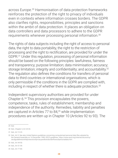

## across Europe.<sup>29</sup> Harmonisation of data protection frameworks

reinforces the protection of the right to privacy of individuals even in contexts where information crosses borders. The GDPR also clarifies rights, responsibilities, principles and sanctions within the ambit of data protection. It places an obligation on data controllers and data processors to adhere to the GDPR requirements whenever processing personal information.<sup>30</sup>

The rights of data subjects including the right of access to personal data, the right to data portability, the right to the restriction of processing and the right to rectification, are provided for under the GDPR.31 Under this regulation, processing of personal information should be based on the following principles: lawfulness, fairness and transparency; purpose limitation; data minimisation; accuracy; storage limitation; integrity and confidentiality; and accountability.<sup>32</sup> The regulation also defines the conditions for transfers of personal data to third countries or international organisations, which is only permissible if the conditions in the GDPR are complied with, including in respect of whether there is adequate protection.<sup>33</sup>

Independent supervisory authorities are provided for under Chapter 6.34 This provision encapsulates the powers, competence, tasks, rules of establishment, membership and independence of the authority. Remedies, liability and penalties are captured in Articles 77 to 84,<sup>35</sup> while implementation procedures are written up in Chapter 10 (Articles 92 to 93). The

#### 30 Ibid., Chapter 4, Art 24-43.

31 Ibid., Art 12-23.

32 Ibid., Art 5. See also United Nations guidelines concerning computerised personal data files adopted by the General Assembly on 14 December 1990; OECD guidelines. [https://www.oecd.org/internet/ieconomy/](https://www.oecd.org/internet/ieconomy/oecdguidelinesontheprotectionofprivacyandtransborderflowsofpersonaldata.htm) [oecdguidelinesontheprotectionofprivacyandtransborderflowsofpersonaldata.htm](https://www.oecd.org/internet/ieconomy/oecdguidelinesontheprotectionofprivacyandtransborderflowsofpersonaldata.htm)

33 Ibid., Art 44-50.

34 Ibid., Art 51-59.

35 Ibid., Art 77-84.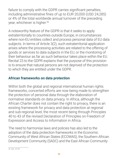<span id="page-28-0"></span>failure to comply with the GDPR carries significant penalties, including administrative fines of up to EUR 20,000 (USD 24,285) or 4% of the total worldwide annual turnover of the preceding year, whichever is higher.<sup>36</sup>

A noteworthy feature of the GDPR is that it seeks to apply extraterritorially to countries outside Europe, in circumstances where non-EU entities collect and process personal data of EU data subjects. In terms of Article 3(2), such extraterritorial application arises where the processing activities are related to the offering of goods or services to data subjects in the EU, or the monitoring of their behaviour as far as such behaviour takes place within the EU. Recital 23 to the GDPR explains that the purpose of this provision is to ensure that natural persons are not deprived of the protection to which they are entitled under the GDPR.

## **African frameworks on data protection**

Within both the global and regional international human rights frameworks, concerted efforts are now being made to strengthen the protection of personal data through the elaboration of normative standards on data privacy. In Africa, although the African Charter does not contain the right to privacy, there is an existing framework for privacy and data protection at regional and sub-regional level, the most recent being through Principles 40 to 43 of the revised Declaration of Principles on Freedom of Expression and Access to Information in Africa.

The need to harmonise laws and policies has also led to the adoption of the data protection frameworks in the Economic Community of West African States (ECOWAS), the Southern African Development Community (SADC) and the East African Community

36 Ibid., Art 83.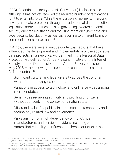(EAC). A continental treaty (the AU Convention) is also in place, although it has not yet received the required number of ratifications for it to enter into force. While there is growing momentum around privacy and data protection through the adoption of data protection legislation, more countries are also gravitating towards national security-oriented legislation and focusing more on cybercrime and cybersecurity legislation,<sup>37</sup> as well as resorting to different forms of communications surveillance.<sup>38</sup>

In Africa, there are several unique contextual factors that have influenced the development and implementation of the applicable data protection frameworks. As identified in the Personal Data Protection Guidelines for Africa – a joint initiative of the Internet Society and the Commission of the African Union, published in May 2018 – the following are seen to be characteristics of the African context:39

- Significant cultural and legal diversity across the continent, with different privacy expectations.
- Variations in access to technology and online services among member states.
- Sensitivities regarding ethnicity and profiling of citizens without consent, in the context of a nation state.
- Different levels of capability in areas such as technology and technology-related law and governance.
- Risks arising from high dependency on non-African manufacturers and service providers, including AU member states' limited ability to influence the behaviour of external

- 37 Sutherland, E. (2017). Governance of cybersecurity The case of South Africa. *African Journal of Information and Communication (AJIC)*, 20, 83-112. <http://wiredspace.wits.ac.za/handle/10539/23574>
- 38 Makulilo, A. B. (2016). A Person Is a Person through Other Persons: A Critical Analysis of Privacy and Culture in Africa. *Beijing Law Review, 7,* 192-204.<https://www.scirp.org/journal/paperinformation.aspx?paperid=69939>
- 39 [https://www.internetsociety.org/wp-content/uploads/2018/05/AUCPrivacyGuidelines\\_2018508\\_EN.pdf](https://www.internetsociety.org/wp-content/uploads/2018/05/AUCPrivacyGuidelines_2018508_EN.pdf)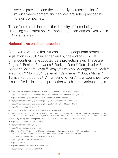service providers and the potentially-increased risks of data misuse where content and services are solely provided by foreign companies.

These factors can increase the difficulty of formulating and enforcing consistent policy among – and sometimes even within – African states.

#### National laws on data protection

Cape Verde was the first African state to adopt data protection legislation in 2001. Since then and by the end of 2019, 18 other countries have adopted data protection laws. These are: Angola,<sup>40</sup> Benin,<sup>41</sup> Botswana,<sup>42</sup> Burkina Faso,<sup>43</sup> Cote d'Ivoire,<sup>44</sup> Gabon,<sup>45</sup> Ghana,<sup>46</sup> Egypt,<sup>47</sup> Kenya,<sup>48</sup> Lesotho, Madagascar,<sup>49</sup> Mali,<sup>50</sup> Mauritius,<sup>51</sup> Morocco,<sup>52</sup> Senegal,<sup>53</sup> Seychelles,<sup>54</sup> South Africa,<sup>55</sup> Tunisia<sup>56</sup> and Uganda.<sup>57</sup> A number of other African countries have also drafted bills on data protection which are at various stages

- 41 <https://apdp.bj/wp-content/uploads/2016/08/Loi-No-2009-du-22Mai-2009-Version-Anglaise.pdf>
- 42 <https://www.bocra.org.bw/sites/default/files/documents/DataProtectionAct.pdf>
- 43 <https://dataprotection.africa/wp-content/uploads/2019/10/Burkina-Faso-Factsheet.pdf>
- 44 <https://dataprotection.africa/wp-content/uploads/2019/10/Ivory-Coast-Factsheet-1.pdf>
- 45 <https://dataprotection.africa/gabon/>
- 46 https:/[/media.mofo.com/files/PrivacyLibrary/3981/GHANAbill.pdf](file:///C:\Users\Admin\AppData\Local\Temp\media.mofo.com\files\PrivacyLibrary\3981\GHANAbill.pdf)
- 47 Mohammed, B. (2019, 22 June). Egypt's legislators pass country's first data protection regulation law. *Daily News Egypt*[.https://](https://www.zawya.com/mena/en/legal/story/Egypts_legislators_pass_countrys_first_data_protection_regulation_law-SNG_147402777/) [www.zawya.com/mena/en/legal/story/Egypts\\_legislators\\_pass\\_countrys\\_first\\_data\\_protection\\_regulation\\_law-SNG\\_147402777/](https://www.zawya.com/mena/en/legal/story/Egypts_legislators_pass_countrys_first_data_protection_regulation_law-SNG_147402777/)
- 48 [http://kenyalaw.org/kl/fileadmin/pdfdownloads/Acts/2019/TheDataProtectionAct\\_\\_No24of2019.pdf](http://kenyalaw.org/kl/fileadmin/pdfdownloads/Acts/2019/TheDataProtectionAct__No24of2019.pdf)
- 49 <https://dataprotection.africa/madagascar/>
- 50 <https://dataprotection.africa/mali/>
- 

#### 51 <https://dataprotection.africa/mauritius/>

52 Chenaoui, H. (2018, 11 September). Moroccan data protection law: Moving to align with EU data protection? *iapp.* <https://iapp.org/news/a/moroccan-data-protection-law-moving-to-align-with-eu-data-protection/>

53 <http://www.wipo.int/edocs/lexdocs/laws/fr/sn/sn009fr.pdf>

54 <https://seylii.org/sc/legislation/act/2002/9>

55 <https://popia.co.za/>

56 <http://desiderando.com/Docs/UNPAN042957.pdf>

57 <https://ulii.org/ug/legislation/act/2019/1>

<sup>40</sup> <https://www.lexology.com/library/detail.aspx?g=429baa59-8d93-4048-b3e7-342a52e4eb31>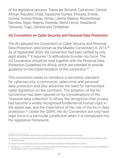of the legislative process. These are Burundi, Cameroon, Central African Republic, Chad, Equatorial Guinea, Ethiopia, Eritrea, Guinea, Guinea Bissau, Kenya, Liberia, Malawi, Mozambique, Namibia, Niger, Nigeria, Rwanda, Sierra Leone, Swaziland, Tanzania, Togo, Zambia and Zimbabwe.

The AU adopted the Convention on Cyber Security and Personal Data Protection (also known as the Malabo Convention) in 2014.<sup>58</sup> As of September 2020, the convention had been ratified by only eight states.<sup>59</sup> It requires 15 ratifications to enter into force. The AU Convention should be read together with the Personal Data Protection Guidelines for Africa, which are intended to provide guidance on the implementation of the convention.<sup>60</sup>

#### AU Convention on Cyber Security and Personal Data Protection

The convention seeks to introduce a normative standard for cybersecurity, e-commerce, cybercrime and personal data protection and also advances the need for harmonised cyber legislation on the continent. The adoption of the AU Convention has been spurred on by considerations of the "massive data collection" in Africa, the recognition that privacy has become a widely recognised fundamental human right in the digital age, and the importance of the role of the AU in data protection.61 Unlike the GDPR, the AU Convention will only have legal force in a particular jurisdiction when it is transposed into the legislative framework.

58 <https://au.int/en/treaties/african-union-convention-cyber-security-and-personal-data-protection>

59 [https://au.int/sites/default/files/treaties/29560-sl-AFRICAN UNION CONVENTION ON CYBER SECURITY AND PERSONAL DATA](https://au.int/sites/default/files/treaties/29560-sl-AFRICAN%20UNION%20CONVENTION%20ON%20CYBER%20SECURITY%20AND%20PERSONAL%20DATA%20PROTECTION.pdf)  [PROTECTION.pdf](https://au.int/sites/default/files/treaties/29560-sl-AFRICAN%20UNION%20CONVENTION%20ON%20CYBER%20SECURITY%20AND%20PERSONAL%20DATA%20PROTECTION.pdf)

60 <https://www.internetsociety.org/resources/doc/2018/personal-data-protection-guidelines-for-africa/>

61 Abdulrauf, L.A., & Fombad, C. M. (2016). The African Union's Data Protection Convention 2014: A possible cause for celebration of human rights in Africa. *Journal of Media Law 8* (1), 67-97.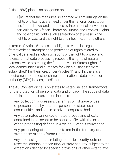Article 25(3) places an obligation on states to:

[E]nsure that the measures so adopted will not infringe on the rights of citizens guaranteed under the national constitution and internal laws, and protected by international conventions, particularly the African Charter on Human and Peoples' Rights, and other basic rights such as freedom of expression, the right to privacy and the right to a fair hearing, among others.

In terms of Article 8, states are obliged to establish legal frameworks to strengthen the protection of rights related to physical data and sanction violations of the right to privacy and to ensure that data processing respects the rights of natural persons, while protecting the "prerogatives of States, rights of local communities and purposes for which businesses were established." Furthermore, under Articles 11 and 12, there is a requirement for the establishment of a national data protection authority (DPA) in each jurisdiction.

- Any collection, processing, transmission, storage or use of personal data by a natural person, the state, local communities, and public or private corporate bodies.
- Any automated or non-automated processing of data contained in or meant to be part of a file, with the exception of the processing defined in Article 9.2 of this convention.
- Any processing of data undertaken in the territory of a state party of the African Union.
- Any processing of data relating to public security, defence, research, criminal prosecution, or state security, subject to the exceptions defined by specific provisions of other extant laws.

The AU Convention calls on states to establish legal frameworks for the protection of personal data and privacy. The scope of data that falls under the convention includes: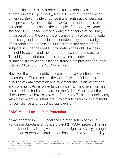Under Articles 13 to 16, it provides for the principles and rights of data subjects. Specifically, Article 13 sets out the following principles: the principle of consent and legitimacy of personal data processing; the principle of lawfulness and fairness of personal data processing; the principle of purpose, relevance and storage of processed personal data; the principle of accuracy of personal data; the principle of transparency of personal data processing; and the principle of confidentiality and security of personal data processing. Furthermore, the rights of data subjects include the right to information; the right of access; the right to object; and the right of rectification and erasure. The obligations of data controllers, which include storage, sustainability, confidentiality and storage, are provided for under

However, the human rights concerns of the convention are well documented. These include the lack of clear definitions, the bundling of data protection and cybersecurity, judicial overreach and communications surveillance concerns. The convention has been criticised for its emphasis on the African Charter, yet the charter does not have a provision for privacy.<sup>62</sup> The other deficiency with the convention is that it fails to provide a minimum threshold for compliance and robust judicial oversight.<sup>63</sup>

#### Articles 20 to 23 of the AU Convention.

#### SADC Model Law on Data Protection

It was adopted in 2013 under the Harmonisation of the ICT Policies in Sub-Saharan Africa project (HIPSSA) project. The aim

### of the Model Law is to give effect to the right to privacy through protection of personal information based on the accountability

62 Gwagwa, A. (2014). The African Union Convention on Cybersecurity and Personal Data Protection. *Zimbabwe Human Rights International Office Bulletin.* [https://www.academia.edu/11328759/The\\_African\\_Union\\_Convention\\_on\\_Cybersecurity\\_and\\_](https://www.academia.edu/11328759/The_African_Union_Convention_on_Cybersecurity_and_Personal_Data_Protection) [Personal\\_Data\\_Protection](https://www.academia.edu/11328759/The_African_Union_Convention_on_Cybersecurity_and_Personal_Data_Protection)

63 Ibid.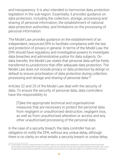The Model Law provides guidance on the establishment of an independent, resourced DPA to facilitate compliance with the law and protection of privacy in general. In terms of the Model Law, the DPA should have regulatory and investigative powers to investigate data breaches and administrative justice for data subjects. On data transfer, the Model Law states that personal data will be freely transferred to jurisdictions that offer adequate data protection. The processing and storage and sharing of personal data.<sup>64</sup>

and transparency. It is also intended to harmonise data protection legislation in the sub-region. Essentially, it provides guidance on data protection, including the collection, storage, processing and sharing of personal information, the establishment of national data protection authorities, and limitations on the processing of personal information.

Model Law does not include privacy or data protection by design or default to ensure prioritisation of data protection during collection,

Articles 22 and 25 of the Model Law deal with the security of data. To ensure the security of personal data, data controllers have the responsibility to:

[T]ake the appropriate technical and organisational measures that are necessary to protect the personal data from negligent or unauthorised destruction, negligent loss, as well as from unauthorised alteration or access and any other unauthorised processing of the personal data.

#### In the case of a security breach, the data controller has an obligation to notify the DPA, without any undue delay, although there is no clarity on what entails a security breach or undue delay.

64 The principle of privacy or data protection "by default" refers to the concept that companies or organisations should ensure that personal data is processed with the highest privacy protection (for example only the data necessary should be processed, with a short storage period and limited accessibility) so that by default personal data is not made accessible to an indefinite number of persons.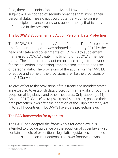Also, there is no indication in the Model Law that the data subject will be notified of security breaches that involve their personal data. These gaps could potentially compromise the principle of transparency and accountability that is aptly referenced in the preamble.

#### The ECOWAS Supplementary Act on Personal Data Protection

The ECOWAS Supplementary Act on Personal Data Protection<sup>65</sup> (the Supplementary Act) was adopted in February 2010 by the heads of state and governments of ECOWAS to supplement the revised ECOWAS treaty. It is binding on ECOWAS member states. The supplementary act establishes a legal framework for the collection, processing, transmission, storage and use of personal data. The provisions of the act mirror the 1995 EU Directive and some of the provisions are like the provisions of the AU Convention.

To give effect to the provisions of this treaty, the member states are expected to establish data protection frameworks through the adoption of legislative and other measures. Only Gabon (2011), Ghana (2012), Cote d'Ivoire (2013) and Mali (2013) passed their data protection laws after the adoption of the Supplementary Act. In total, 11 countries in ECOWAS have data protection laws.

#### The EAC frameworks for cyber law

The EAC<sup>66</sup> has adopted the frameworks for cyber law. It is

#### intended to provide guidance on the adoption of cyber laws which contain aspects of expositions, legislative guidelines, reference materials and recommendations. The 2008 framework was

65 <http://www.tit.comm.ecowas.int/wp-content/uploads/2015/11/SIGNED-Data-Protection-Act.pdf>

66 <https://www.eac.int/>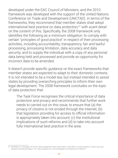developed under the EAC Council of Ministers, and the 2010

framework was developed with the support of the United Nations Conference on Trade and Development (UNCTAD). In terms of the frameworks, they recommend that member states shall adopt international best practice on data protection,<sup>67</sup> with scant detail on the content of this. Specifically, the 2008 framework only identifies the following as a minimum obligation: to comply with certain "principles of good practice" in respect of their processing activities, including accountability, transparency, fair and lawful processing, processing limitation, data accuracy and data security; and to supply the individual with a copy of any personal data being held and processed and provide an opportunity for incorrect data to be amended.

It doesn't provide specific guidance on the exact frameworks that member states are expected to adapt to their domestic contexts. It is not intended to be a model law, but instead intended to assist states by providing overarching principles to inform their own legal development. The 2008 framework concludes on the topic of data protection that:

The Task Force recognises the critical importance of data protection and privacy and recommends that further work needs to carried out on this issue, to ensure that (a) the privacy of citizens is not eroded through the Internet; (b) that legislation providing for access to official information is appropriately taken into account; (c) the institutional implications of such reforms and (d) to take into account fully international best practice in the area.

<sup>67</sup> Greenleaf, G., & Georges, M. (2014). African Regional Privacy Instruments: Their Effect on Harmonisation*. Privacy Laws and Business International Report, 132*. [https://papers.ssrn.com/sol3/papers.cfm?abstract\\_id=2566724](https://papers.ssrn.com/sol3/papers.cfm?abstract_id=2566724)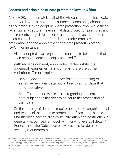## **Content and principles of data protection laws in Africa**

• All the adopted laws require data subjects to be notified that their personal data is being processed.<sup>69</sup>

As of 2020, approximately half of the African countries have data protection laws,<sup>68</sup> although this number is constantly changing as countries seek to adopt new data protection laws. While these laws typically capture the essential data protection principles and requirements, they differ in some aspects, such as restrictions on cross-border data transfers, data security, data breach notification and the appointment of a data protection officer (DPO). For instance:

- With regards consent, approaches differ. While it is a general requirement in most laws, there are some variations. For example:
	- Benin: Consent is mandatory for the processing of sensitive personal data but not required for data that is not sensitive.
	- Mali: There are no explicit rules regarding consent, but a data subject has the right to object to the processing of their data.
- On the security of data, the requirement to take organisational and technical measures to protect data from loss, misuse, unauthorised access, disclosure, alteration and destruction is generally recognised, although with varying levels of detail.<sup>70</sup> For example, the Côte d'Ivoire law provides for detailed

## security requirements.

68 The countries are: Algeria, Niger, Mauritania, Togo, Equatorial Guinea, Chad, Comoros, Madagascar, South Africa, Cote d'Ivoire, Lesotho, Mali, Angola, Gabon, Ghana, Benin, Morocco, Senegal, Burkina Faso, Mauritius, Tunisia, Zimbabwe, Cape Verde, Seychelles, Botswana, Egypt, Kenya, Uganda. <https://privacyinternational.org/long-read/3390/2020-crucial-year-fight-data-protection-africa>

69 Rich, C. (2017). A Look at New Trends in 2017: Privacy Laws in Africa and the Near East. *Bloomberg Law*, *16 (*4).

70 Ibid.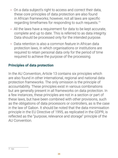

- On a data subject's right to access and correct their data, these core principles of data protection are also found in African frameworks; however, not all laws are specific regarding timeframes for responding to such requests.<sup>71</sup>
- All the laws have a requirement for data to be kept accurate, complete and up to date. This is referred to as data integrity. Data should be processed only for the intended purpose.
- Data retention is also a common feature in African data protection laws, in which organisations or institutions are required to retain personal data only for the period of time required to achieve the purpose of the processing.

## **Principles of data protection**

In the AU Convention, Article 13 contains six principles which are also found in other international, regional and national data protection frameworks. The only omission is the principle of accountability. These principles exist in various combinations but are generally present in all frameworks on data protection. In a few instances, these principles are not in a section or part of these laws, but have been combined with other provisions, such as the obligations of data processors or controllers, as is the case in the law of Gabon. It should be noted that the data minimisation principle in the EU Directive of 1995, as replicated in the GDPR, is reflected as the "purpose, relevance and storage" principle of the AU Convention.

71 Ibid*.*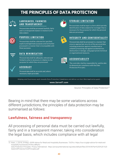# THE PRINCIPLES OF DATA PROTECTION



## **LAWFULNESS, FAIRNESS AND TRANSPARENCY**

Personal data shall be processed lawfully, fairly and in a transparent manner in relation to the data subject.



## **PURPOSE LIMITATION**

Personal data shall be collected for specified, explicit and legitimate purposes and not further processed in a manner that is incompatible with those purposes.

## **DATA MINIMISATION**

Personal data shall be adequate, relevant and limited to what is necessary in relation to the purposes for which they are processed.



## **STORAGE LIMITATION**

Personal data shall be kept in a form which permits identification of data subjects for no longer than is necessary for the purposes for which the personal data are processed.



## **INTEGRITY AND CONFIDENTIALITY**

Personal data shall be processed in a manner that ensures appropriate security of the personal data, including protection against unauthorised or unlawful processing and against accidental loss, destruction or damage, using appropriate technical or organisational measures.



## **ACCOUNTABILITY**

The controller shall be responsible for, and be able



## **ACCURACY**

Personal data shall be accurate and, where necessary, kept up to date.

to demonstrate compliance with the Data **Protection Principles.** 

Helping small businesses work towards Data Protection Compliance and deliver on their Web Application goals

#### www.ServelT.com

Source: Principles of Data Protection<sup>72</sup>

Bearing in mind that there may be some variations across different jurisdictions, the principles of data protection may be summarised as follows:

## Lawfulness, fairness and transparency

All processing of personal data must be carried out lawfully,

# fairly and in a transparent manner, taking into consideration the legal basis, which includes compliance with all legal

<sup>72</sup> Kean, J. (2018, 24 May). GDPR Advice for Retail and Hospitality Businesses. *TUCR.io*. https://tucr.io/gdpr-advice-for-retail-andhospitality-businesses/#.X4CLii8RqYU Data Protection Principles. *Privacy International* . [https://privacyinternational.org/sites/default/files/2018-09/Part%203%20-%20](https://privacyinternational.org/sites/default/files/2018-09/Part%203%20-%20Data%20Protection%20Principles.pdf) [Data%20Protection%20Principles.pdf](https://privacyinternational.org/sites/default/files/2018-09/Part%203%20-%20Data%20Protection%20Principles.pdf)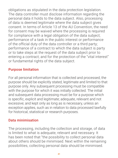obligations as stipulated in the data protection legislation. The data controller must disclose information regarding the personal data it holds to the data subject. Also, processing of data is deemed legitimate where the data subject gives consent. In terms of Article 13 of the AU Convention, the need for consent may be waived where the processing is required for compliance with a legal obligation of the data subject; performance of a task in the public interest or performance of the official duty of the data controller or a third party; performance of a contract to which the data subject is party or to take steps at the request of the data subject prior to entering a contract; and for the protection of the "vital interest" or fundamental rights of the data subject.

## Purpose limitation

For all personal information that is collected and processed, the purpose should be explicitly stated, legitimate and limited to that purpose only. Any subsequent processing must be compatible with the purpose for which it was initially collected. The initial and subsequent data processing must be for a purpose which is specific, explicit and legitimate; adequate, relevant and not excessive; and kept only as long as is necessary, unless an exception applies, such as in relation to data processed lawfully for historical, statistical or research purposes.

## Data minimisation

The processing, including the collection and storage, of data is limited to what is adequate, relevant and necessary. It has been noted that "the possibility to collect personal data about others should be minimised. Next within the remaining possibilities, collecting personal data should be minimised.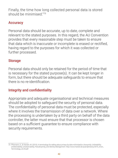Finally, the time how long collected personal data is stored should be minimised."73

## **Accuracy**

Personal data should be accurate, up to date, complete and relevant to the stated purposes. In this regard, the AU Convention provides that every reasonable step must be taken to ensure that data which is inaccurate or incomplete is erased or rectified, having regard to the purposes for which it was collected or further processed.

## Storage

Personal data should only be retained for the period of time that is necessary for the stated purpose(s). It can be kept longer in form, but there should be adequate safeguards to ensure that there is no re-identification.

## Integrity and confidentiality

Appropriate and adequate organisational and technical measures should be adopted to safeguard the security of personal data. The confidentiality of personal data must be protected, especially where it involves the transmission of data over a network. Where the processing is undertaken by a third party on behalf of the data controller, the latter must ensure that that processor is chosen based on a sufficient guarantee to ensure compliance with

## security requirements.

73 Pfitzmann, A., & Hansen, M. (2010). *A terminology for talking about privacy by data minimization: Anonymity, Unlinkability, Undetectability, Unobservability, Pseudonymity, and Identity Management*. [http://www.maroki.de/pub/dphistory/2010\\_Anon\\_](http://www.maroki.de/pub/dphistory/2010_Anon_Terminology_v0.34.pdf) [Terminology\\_v0.34.pdf](http://www.maroki.de/pub/dphistory/2010_Anon_Terminology_v0.34.pdf)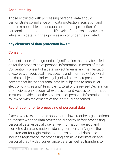## Accountability

Those entrusted with processing personal data should demonstrate compliance with data protection legislation and remain responsible and accountable for the protection of personal data throughout the lifecycle of processing activities while such data is in their possession or under their control.

## **Key elements of data protection laws74**

## Consent

Consent is one of the grounds of justification that may be relied on for the processing of personal information. In terms of the AU Convention, consent of a data subject "means any manifestation of express, unequivocal, free, specific and informed will by which the data subject or his/her legal, judicial or treaty representative accepts that his/her personal data be subjected to manual or electronic processing." Principle 42(2)(a) of the revised Declaration of Principles on Freedom of Expression and Access to Information in Africa provides that the processing of personal information must by law be with the consent of the individual concerned.

## Registration prior to processing of personal data

Except where exemptions apply, some laws require organisations to register with the data protection authority before processing personal data, especially sensitive information, genetic and biometric data, and national identity numbers. In Angola, the requirement for registration to process personal data also includes registration for processing sensitive information and personal credit video surveillance data, as well as transfers to

<sup>74</sup> The following examples are extracted from Rich, C. (2017). Op. cit.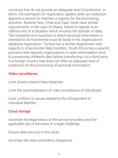countries that do not provide an adequate level of protection. In Benin, the exemption for registration applies when an institution appoints a person to maintain a registry for the processing activities. Burkina Faso, Chad and Cape Verde have similar requirements. In the case of Ghana, failure to register is an offence and, in a situation which involves the transfer of data, "the recipients and countries to which personal information is intended to be transferred must be listed in the organisation's database registration." Tunisia has a similar requirement with regards to cross-border data transfers. South Africa has a specific provision that requires organisations to seek authorisation prior to processing children's data before transferring it to a third party in a foreign country that does not offer an adequate level of

protection for the processing of personal information.

## Video surveillance

Limit privacy breach/data breaches.

Limit the systematisation of video surveillance of individuals.

Limit conflicts or issues related to the infringement of individual liberties.

## Cloud storage

Ascertain the legal status of the service providers and the applicable law in the event of a legal challenge.

## Ensure data security in the cloud.

## Ascertain the data controller's obligations.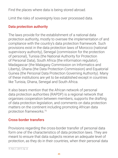Find the places where data is being stored abroad.

Limit the risks of sovereignty loss over processed data.

## Data protection authority

The laws provide for the establishment of a national data protection authority, mostly to oversee the implementation of and compliance with the country's data protection framework. Such provisions exist in the data protection laws of Morocco (national supervisory authority), Senegal (commission for the protection of personal), Tunisia (the National Authority for Protection of Personal Data), South Africa (the information regulator), Madagascar (the Malagasy Commission on Informatics and Liberty), Ghana (the Data Protection Commission) and Equatorial Guinea (the Personal Data Protection Governing Authority). Many of these institutions are yet to be established except in countries like Tunisia, Ghana, Senegal and South Africa.

It also bears mention that the African network of personal data protection authorities (RAPDP) is a regional network that organises cooperation between members, supports the drafting of data protection legislation, and comments on data protection matters on the continent including promoting African data protection frameworks.75

## Cross-border transfers

Provisions regarding the cross-border transfer of personal data form one of the characteristics of data protection laws. They are meant to ensure that data subjects receive an adequate level of protection, as they do in their countries, when their personal data

75 Rich, C. (2017). Op. cit.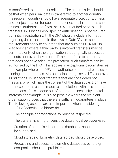is transferred to another jurisdiction. The general rules should be that when personal data is transferred to another country, the recipient country should have adequate protections, unless another justification for such a transfer exists. In countries such as Benin, authorisation from the DPA is required prior to such transfers. In Burkina Faso, specific authorisation is not required, but initial registration with the DPA should include information regarding data transfers. In the laws of Cote D'Ivoire such requirements apply to countries that are outside ECOWAS. In Madagascar, where a third party is involved, transfers may be permitted only when the organisation that originally processed the data approves. In Morocco, if the transfer is to a country that does not have adequate protection, such transfers can be authorised by the DPA. This applies in exceptional circumstances, for example, where the DPA can authorise contractual clauses or binding corporate rules. Morocco also recognises all EU approved jurisdictions. In Senegal, transfers that are considered not massive, or which have the consent of the data subject, or have other exceptions can be made to jurisdictions with less adequate protections, if this is done out of contractual necessity or vital interests, for example. It is also possible where the recipient organisation proves that there are sufficient guarantees in place. The following aspects are also important when considering transfer of genetic and biometric data:

- The principle of proportionality must be respected.
- The transfer/sharing of sensitive data should be supervised.
- Creation of centralised biometric databases should

be supervised.

## • Cloud storage of biometric data abroad should be avoided.

## • Processing and access to biometric databases by foreign companies should be prohibited.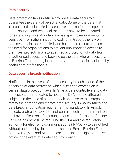47

## Data security

Data protection laws in Africa provide for data security to guarantee the safety of personal data. Some of the data that is processed is classified as sensitive information and specific organisational and technical measures have to be activated for safety purposes. Angolan law has specific requirements for sensitive information, including coding. In Gabon, the law on data security is more detailed, and has requirements such as the need for organisations to prevent unauthorised access to premises, protection of storage media, protection of data from unauthorised access and backing up the data where necessary. In Burkina Faso, coding is mandatory for data that is disclosed by

## Data security breach notification

Notification in the event of a data security breach is one of the principles of data protection which also finds expression in certain data protection laws. In Ghana, data controllers and data processors are mandated to notify the DPA and the affected data subjects in the case of a data breach and also to take steps to rectify the damage and restore data security. In South Africa, the data breach notification requirement is mandatory. In Angola, the data protection law does not contain such a requirement, but the Law on Electronic Communications and Information Society Services has provisions requiring the DPA and the regulatory authority for electronic communications (INACOM) to be notified without undue delay. In countries such as Benin, Burkina Faso, Cape Verde, Mali and Madagascar, there is no obligation to give notice in the event of a data security breach.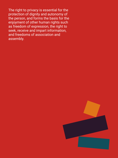The right to privacy is essential for the protection of dignity and autonomy of the person, and forms the basis for the enjoyment of other human rights such as freedom of expression, the right to seek, receive and impart information, and freedoms of association and assembly.



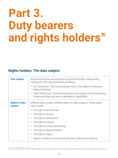# **Part 3. Duty bearers**  and rights holders<sup>76</sup>

# **Rights holders: The data subject**

| <b>Data subject</b>              | Any person whose personal data is protected under a data privacy<br>framework. This may be defined as follows:<br>• AU Convention: "Any natural person that is the subject of personal<br>data processing."<br>• SADC Model Law: "Any individual who is the subject of the processing<br>of personal data and who is identified or identifiable." |
|----------------------------------|---------------------------------------------------------------------------------------------------------------------------------------------------------------------------------------------------------------------------------------------------------------------------------------------------------------------------------------------------|
| <b>Rights of data</b><br>subject | Different laws contain different rights for data subjects. These rights<br>may include:<br>• The right to be informed<br>• The right of access<br>• The right to rectification<br>• The right to erasure<br>• The right to restrict processing                                                                                                    |

- The right to data portability
- The right to object
- Rights in relation to automated decision making and profiling.

<sup>76</sup> See AU Convention, GDRP, SADC Model law on Data Protection, The ECOWAS Supplementary Act on Personal Data Protection.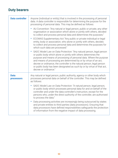

## **Duty bearers**

**Data controller** Anyone (individual or entity) that is involved in the processing of personal data. A data controller is responsible for determining the purpose for the processing of personal data. This may be defined as follows:

- AU Convention: "Any natural or legal person, public or private, any other organisation or association which alone or jointly with others, decided to collect and process personal data and determines the purposes."
- ECOWAS Supplementary Act: "Any public or private individual or legal entity, body or association, who alone or jointly with others, decides to collect and process personal data and determines the purposes for which such data are processed."
- SADC Model Law on Data Protection: "Any natural person, legal person or public body which alone or jointly with others determines the purpose and means of processing of personal data. Where the purpose and means of processing are determined by or by virtue of an act, decree or ordinance, the controller is the natural person, legal person

|                                  | decree or ordinance, the controller is the natural person, legal person<br>or public body has been designated as such by or by virtue of that act,<br>decree or ordinance."                                                                                                                                                    |
|----------------------------------|--------------------------------------------------------------------------------------------------------------------------------------------------------------------------------------------------------------------------------------------------------------------------------------------------------------------------------|
| <b>Data</b><br><b>processors</b> | Any natural or legal person, public authority, agency or other body which<br>processes personal data on behalf of the controller. This may be defined<br>as follows:                                                                                                                                                           |
|                                  | • SADC Model Law on Data Protection: "A natural person, legal person,<br>or public body which processes personal data for and on behalf of the<br>controller and under the data controller's instruction, except for the<br>persons who, under the direct authority of the controller, are authorised<br>to process the data." |
|                                  | Data processing activities are increasingly being outsourced by states<br>and private entities to third parties (data processors). Ensuring that<br>data processors have defined responsibilities safequards the protection<br>of information from the negative impact of data processing.                                     |
|                                  |                                                                                                                                                                                                                                                                                                                                |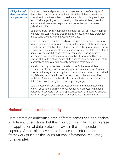51

## **Obligations of data controllers and processors**

Data controllers and processors facilitate the exercise of the rights of data subjects, in accordance with the principles of data protection as prescribed in law. Data subjects also have a right to challenge or lodge a complaint regarding such processing to the national data protection authority, and are entitled to pursue legal remedies with the relevant judicial authorities.

Data controllers have an obligation to implement data protection policies, to implement technical and organisational measures on data protection and to adhere to any relevant codes of conduct.

It is also the duty of the data controller to notify the national data protection authority when necessary, for example in the case of a data breach. In that regard, a description of the data breach should be provided. Any failure to report within the time prescribed by the law should be explained. The data controller should communicate the occurrence of a data breach to data subjects using simple language.

Duties with regards to records and processing of data include to maintain a record of processing activities; determine the purpose of the processing; provide the name and contact details of the controller; provide a description of categories of data subjects and categories of personal data, international transfers of personal data and the documentation of the appropriate safeguards; and provide information regarding the envisaged limits of erasure of the different categories of data and the general description of the technical and organisational security measures implemented.

Data processors should only process personal information according to the instructions given by the data controller. In processing personal data, data processors must take appropriate security measures; observe confidentiality; and demonstrate compliance with the relevant laws.

## National data protection authority

Data protection authorities have different names and approaches in different jurisdictions, but their function is similar. They oversee the application of data protection laws in their independent capacity. Others also have a role in access to information framework (such as the South African Information Regulator, for example).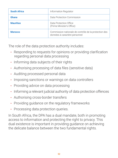

| <b>South Africa</b> | Information Regulator                                                                  |
|---------------------|----------------------------------------------------------------------------------------|
| Ghana               | Data Protection Commission                                                             |
| <b>Mauritius</b>    | Data Protection Office<br>(Prime Minister's Office)                                    |
| <b>Morocco</b>      | Commission nationale de contrôle de la protection des<br>données à caractère personnel |

- Responding to requests for opinions or providing clarification regarding personal data processing
- Informing data subjects of their rights

The role of the data protection authority includes:

- Authorising processing of data files (sensitive data)
- Auditing processed personal data
- Imposing sanctions or warnings on data controllers
- Providing advice on data processing
- Informing a relevant judicial authority of data protection offences
- Authorising cross-border transfers
- Providing guidance on the regulatory frameworks
- Processing data protection queries.

In South Africa, the DPA has a dual mandate, both in promoting access to information and protecting the right to privacy. This dual existence is important in providing guidance on achieving

## the delicate balance between the two fundamental rights.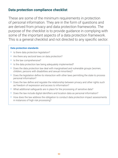

## **Data protection compliance checklist**

These are some of the minimum requirements in protection of personal information. They are in the form of questions and are derived from privacy and data protection frameworks. The purpose of the checklist is to provide guidance in complying with some of the important aspects of a data protection framework. This is a general checklist and not directed to any specific sector.

#### **Data protection standards**

- Is there data protection legislation?
- Are there any sectoral laws on data protection?
- Is the law comprehensive?
- Is the data protection law being adequately implemented?
- Does the data protection law deal with marginalised and vulnerable groups (women, children, persons with disabilities and sexual minorities)?
- Does the legislation define its interaction with other laws permitting the state to process personal information?
- Does the law define and regulate the relationship between privacy and other rights such as freedom of expression and access to information?
- What additional safeguards are in place for the processing of sensitive data?
- Does the law include digital identifiers and location data as personal information?
- How does the law address the obligation to conduct data protection impact assessments in instances of high risk processing?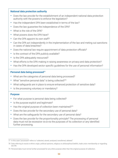#### **National data protection authority**

- Does the law provide for the establishment of an independent national data protection authority with the powers to enforce the legislation?
- Has the independent DPA been established in terms of the law?
- Does the law guarantee the independence of the DPA?
- What is the role of the DPA?
- What powers does the DPA have?
- Can the DPA appoint its own staff?
- Can the DPA act independently in the implementation of the law and meting out sanctions in cases of data breaches?
- Does the national law require appointment of data protection officials?
- Is the contract of the DPA publicly available?
- Is the DPA adequately resourced?
- What efforts is the DPA making in raising awareness on privacy and data protection?

- What are the categories of personal data being processed?
- What "sensitive personal data" is being collected?<sup>78</sup>
- What safeguards are in place to ensure enhanced protection of sensitive data?
- Is the processing voluntary or mandatory?

- For what purpose is personal data being collected?
- Is the purpose explicit and legitimate?
- Has the original purpose of collection been maintained?<sup>79</sup>
- Does the law provide for the secondary use of personal data?
- What are the safeguards for the secondary use of personal data?
- Does the law provide for the proportionality principle? The processing of personal data must not be excessive vis-à-vis the purposes of its collection or any identified further processing.

• Has the DPA developed sector specific guidelines for the use of personal information?

#### **Personal data being processed**<sup>77</sup>

#### **Purpose**

77 In this case "processed" refers to "collected, stored, analysed, transferred, deleted."

78 Data referring to racial or ethnic origin, political opinions, religious or philosophical beliefs, trade union membership or regarding sex life.

79 Personal data must not be further processed for any other purpose other than the original purpose of collection.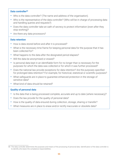#### **Data controller<sup>80</sup>**

- Who is the data controller? (The name and address of the organisation).
- Who is the representative of the data controller? (Who will be in charge of processing data and handling queries and requests?)
- Does the data controller take an oath of secrecy to protect information (even after they stop working)?
- Are there any data processors?

#### **Data retention**

- How is data stored before and after it is processed?
- What is the necessary time frame for keeping personal data for the purpose that it has been collected for?
- What happens to the data after the designated period elapses?
- Will the data be anonymised or erased?
- Is personal data kept in an identifiable form for no longer than is necessary for the purposes for which the data was collected or for which it was further processed?
- Does the national law provide exceptions for data retention? Are the purposes specified for prolonged data retention? For example, for historical, statistical or scientific purposes?
- What safeguards are in place to guarantee enhanced protection in the storage of sensitive data?
- What kind of data should be retained?

## **Quality of personal data**

- Is the data that is being processed complete, accurate and up to date (where necessary)?
- Does the law provide for the quality of personal data?
- How is the quality of data ensured during collection, storage, sharing or transfer?
- What measures are in place to erase and/or rectify inaccurate or obsolete data?

<sup>80</sup> The data controller determines the purposes and means of the processing of personal data. Identification of the data controller is to identify who bears the compliance responsibilities.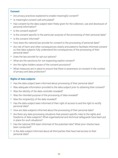

#### **Consent**

- Are privacy practices explained to enable meaningful consent?
- Is meaningful consent well articulated?
- Has consent by the data subject been freely given for the collection, use and disclosure of personal information?
- Is the consent explicit?
- Is the consent specific to the particular purpose of the processing of their personal data?
- Is the consent informed?
- How does the national law provide for consent to the processing of personal data?
- Are risk of harm and other consequences clearly articulated to facilitate informed consent so that data subjects fully understand the consequences of the processing of their personal data?
- Does the law provide for opt-out options?
- What are the sanctions for not respecting explicit consent?
- Are the rights holders aware of the consent provisions?
- What measures are in place to ensure that there is awareness on consent in the context of privacy and data protection?

Is the data subject informed about all third parties that have had access to their personal data?

#### **Rights of data subjects**

- Has the data subject been informed about processing of their personal data?
- Was adequate information provided to the data subject prior to obtaining their consent?
- Was the identity of the data controller revealed?
- Was the intended purpose of the processing of data revealed?
- Was the recipient(s) of the data revealed?
- Has the data subject been informed of their right of access to and the right to rectify personal data?
- How are data subjects informed about the processing of their personal data?
- Are there any data processing situations that present specific risks to the rights and freedoms of data subjects? What organisational and technical safeguards have been put in place for such situations?
- Has the national DPA been informed of the potential risks? What prior checks have been conducted?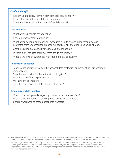#### **Confidentiality<sup>81</sup>**

- Does the national law contain provisions for confidentiality?
- How is the principle of confidentiality guaranteed?
- What are the sanctions for breach of confidentiality?

#### **Data security<sup>82</sup>**

- What are the possible privacy risks?
- How is personal data kept secure?
- What organisational and technical measures exist to ensure that personal data is protected from unauthorised processing, destruction, alteration, disclosure or loss?
- Are the existing data security measures up to standard?
- Is there a law for data security? What are its provisions?
- What is the level of awareness with regards to data security?

- Has the data controller notified the national data protection authority of any processing of personal data?
- Does the law provide for the notification obligation?
- What is the notification procedure?
- Are there any exemptions?
- Does the law provide for data breach notification?

- What do the laws provide regarding cross-border data transfers?
- What are the restrictions regarding cross-border data transfers?
- Is there awareness of cross-border data transfers?

#### **Notification obligation**

#### **Cross-border data transfers**

- 81 Any person who has access to personal data must not access or provide access to, delete or otherwise process this personal data "except on the instructions of the controller" when the law requires otherwise (e.g. for law enforcement purposes).
- 82 In measuring compliance on data security, it is important to consider the principles of data protection by design and by default including implementation. Data protection should be at the core of any activity or engagement that deals with personal data. Organisational measures include adoption of data protection policies and technical measures include use of privacy enhancing mechanisms such as encryption.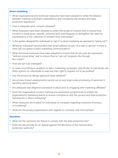

#### **Direct marketing**

- What organisational and technical measures have been adopted to strike the balance between meeting customers' expectations and complying with privacy and data protection legislation?
- How is adequate prior consent obtained?
- What measures have been adopted to widen the scope of consent and to ensure that consent is freely given, specific, informed and unambiguous to strengthen the need for transparency in the collection of consent from individuals?
- Is the system designed for individuals to "opt in" to direct marketing as opposed to "opting out"?
- Where an individual has provided their email address as part of a sale or service, is there a clear opt out option in each marketing communication?
- What technical measures have been adopted to ensure that all opt outs are processed "without undue delay" and to ensure that no "opt out" requests slip through the cracks?
- How are opt outs managed?
- In cases of profiling or analytics to tailor marketing campaigns specifically to individuals, are there options for individuals to exercise their right to request not to be profiled?
- Has the privacy by design approach been adopted?
- Are privacy impact assessments carried out on any large-scale processing of personal or sensitive personal data?
- Are adequate due-diligence processes in place prior to engaging with marketing affiliates?
- Does the organisation conduct training and awareness programmes to enable the organisation's marketing teams to ensure compliance with the privacy and data protection frameworks in direct marketing?
- What measures are in place for individuals to complain regarding invasions of privacy in marketing?
- What are the privacy expectations with regards to contracts with third parties?

- What are the sanctions for failure to comply with the data protection law?
- Does the law provide for an appeal against the decisions of the national data

#### **Sanctions**

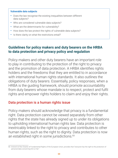- Does the law recognise the existing inequalities between different data subjects?
- Who are considered vulnerable data subjects?
- What are the determinants for vulnerability?
- How does the law protect the rights of vulnerable data subjects?
- Is there clarity on what the restrictions entail?

#### **Vulnerable data subjects**

## **Guidelines for policy makers and duty bearers on the HRBA to data protection and privacy policy and regulation**

# human rights, such as the right to dignity. Data protection is now an established right in some jurisdictions. 83

Policy makers and other duty bearers have an important role to play in contributing to the protection of the right to privacy and the promotion of data protection. A HRBA identifies rights holders and the freedoms that they are entitled to in accordance with international human rights standards. It also outlines the obligations of duty bearers. Essentially, policy responses, when a HRBA is the guiding framework, should promote accountability from duty bearers whose mandate is to respect, protect and fulfil rights and empower rights holders to claim and enjoy their rights.

# Data protection is a human rights issue

Policy makers should acknowledge that privacy is a fundamental right. Data protection cannot be viewed separately from other rights that the state has already signed up to under its obligations to upholding international human rights law. Data protection is inextricably linked to the right to privacy and contributes to other

<sup>83</sup> Article 8 of the Charter of Fundamental Rights of the European Union, provides that "everyone has the right to the protection of personal data concerning him or her."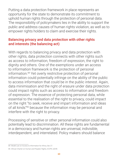Putting a data protection framework in place represents an opportunity for the state to demonstrate its commitment to uphold human rights through the protection of personal data. The responsibility of policymakers lies in the ability to support the public and address causes of human rights violation, as well as to empower rights holders to claim and exercise their rights.

# Balancing privacy and data protection with other rights and interests (the balancing act)

With regards to balancing privacy and data protection with other rights, data protection connects with other rights such as access to information, freedom of expression, the right to dignity and others. One of the exemptions under an access to information framework is the protection of personal information.84 Yet overly restrictive protection of personal information could potentially infringe on the ability of the public to access information that could be in the public interest. Again, data minimisation and the right of erasure under data protection could impact rights such as access to information and freedom of expression. The essence of protecting personal data, while essential to the realisation of the right to privacy, could impact on the right "to seek, receive and impart information and ideas of all kinds<sup>"85</sup> because the information may be personal and interfere with the right to privacy.

Processing of sensitive or other personal information could also potentially lead to discrimination. All these rights are fundamental

## in a democracy and human rights are universal, indivisible, interdependent, and interrelated. Policy makers should balance

84 Model Law on Access to Information for Africa, Sec 27.

85 African Charter on Human and Peoples' Rights, ICCPR, UDHR.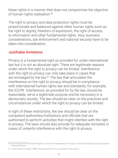these rights in a manner that does not compromise the objective of human rights realisation.<sup>86</sup>

The right to privacy and data protection rights must be proportionate and balanced against other human rights such as the right to dignity, freedom of expression, the right of access to information and other fundamental rights. Also, business considerations, law enforcement and national security have to be taken into consideration.

## Justifiable limitations

Privacy is a fundamental right as provided for under international law but it is not an absolute right. There are legitimate reasons under which the right to privacy can be limited. Interference with the right to privacy can only take place in cases that are envisaged by the law.<sup>87</sup> The law that articulates the interference on the right to privacy should be in compliance with international human rights law and standards, for example, the ICCPR. Interference, as provided for by the law, should be reasonable, serve a legitimate purpose and be necessary in a democratic society. The law should be clear on the practices and circumstances under which the right to privacy can be limited.

In light of these restrictions, the law should be clear on the competent authorities/institutions and officials that are authorised to perform activities that might interfere with the right to privacy. The laws should also provide for adequate remedies in

## cases of unlawful interference with the right to privacy.

- 86 South Africa has the Information Regulator to oversee the implementation of access to information legislation and data protection: striking the balance.
- 87 Human Rights Committee. (1988). General Comment No 16 on the Right to Privacy, para 3.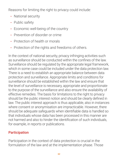

- National security
- Public safety
- Economic well-being of the country
- Prevention of disorder or crime
- Protection of health or morals
- Protection of the rights and freedoms of others.

Reasons for limiting the right to privacy could include:

In the context of national security, privacy infringing activities such as surveillance should be conducted within the confines of the law. Surveillance should be regulated by the appropriate legal framework, which in some case could be included under the data protection law. There is a need to establish an appropriate balance between data protection and surveillance. Appropriate limits and conditions for surveillance should be established within the law and ensure that the level of surveillance is necessary, appropriate and proportionate to the purpose of the surveillance and also ensure the availability of effective remedies. The basis for limitations to the right to privacy should be the public interest notion and should be clearly defined in law. The public interest approach is thus applicable, also in instances where consent or anonymisation are impracticable. However, there should be adequate safeguards when identifiable data is handled so that individuals whose data has been processed in this manner are not harmed and also to hinder the identification of such individuals, for example, in reports or publications.



## Participation in the context of data protection is crucial in the formulation of the law and at the implementation phase. Those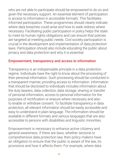who are not able to participate should be empowered to do so and given the necessary support. An essential element of participation is access to information in accessible formats. This facilitates informed participation. These programmes should clearly indicate where data breaches could arise and how to seek redress where necessary. Facilitating public participation in policy helps the state to meet its human rights obligations and can ensure that policies are targeted at meeting public needs. Civil society participation is crucial in the development and implementation of data protection laws. Participation should also include educating the public about privacy and data protection and why it is essential.

## Empowerment, transparency and access to information

Transparency is an indispensable principle in a data protection regime. Individuals have the right to know about the processing of their personal information. Such processing should be conducted in a transparent manner, providing access to information. Information that should be disclosed to individuals includes information about the duty bearers, data collection, data storage, sharing or transfer of personal information, access to personal information for the purposes of rectification or erasure where necessary and also to enable or withdraw consent. To facilitate transparency in data protection, all relevant information should be easily accessible and easy to understand in plain language. The information should be available in different formats and various languages that are also accessible to persons with disabilities and linguistic minorities.

Empowerment is necessary to enhance active citizenry and general awareness. If there are laws, whether sectoral or comprehensive data protection law, then policy makers have an obligation to ensure that the public is aware of the law, its provisions and how it affects them. For example, where data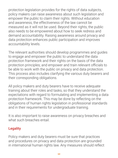

protection legislation provides for the rights of data subjects, policy makers can raise awareness about such legislation and empower the public to claim their rights. Without education and awareness, the effectiveness of the law cannot be measured as it will not be used. Beyond their rights, the public also needs to be empowered about how to seek redress and demand accountability. Raising awareness around privacy and data protection enhances public participation and improves accountability levels.

It is also important to raise awareness on privacy breaches and what such breaches entail.

The relevant authorities should develop programmes and guides to engage and empower the public to understand the data protection framework and their rights on the basis of the data protection principles; and empower and train relevant officials to be able to work with the public on privacy and data protection. This process also includes clarifying the various duty bearers and their corresponding obligations.

All policy makers and duty bearers have to receive adequate training about their roles and tasks, so that they understand the expectations with regard to formulating and implementing a data protection framework. This may be done by reflecting on the obligations of human rights legislation in professional standards and in their requirements for undergraduate training.



## Policy makers and duty bearers must be sure that practices and procedures on privacy and data protection are grounded in international human rights law. Any measures should reflect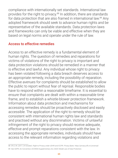compliance with internationally set standards. International law provides for the right to privacy.<sup>88</sup> In addition, there are standards for data protection that are also framed in international law.<sup>89</sup> Any adopted framework should seek to advance human rights and be representative of the available standards. Data protection laws and frameworks can only be viable and effective when they are based on legal norms and operate under the rule of law.

## Access to effective remedies

Access to an effective remedy is a fundamental element of human rights. The question of remedies and reparations for victims of violations of the right to privacy is important and data protection violations should be remedied in a manner that is effective and lawful. Any individual whose right to privacy has been violated following a data breach deserves access to an appropriate remedy, including the possibility of reparation. Effective avenues for complaints should be established to allow the public to report without fear of reprisal. Responsible bodies have to respond within a reasonable timeframe. It is essential to ensure that complaints are dealt with within a reasonable time frame, and to establish a whistle-blower protection framework. Information about data protection and mechanisms for accessing remedies should be proactively disclosed and easily accessible. The application of the right to remedy should be consistent with international human rights law and standards and practised without any discrimination. Victims of unlawful infringement of the right to privacy should receive adequate,

## effective and prompt reparations consistent with the law. In accessing the appropriate remedies, individuals should have access to the relevant information regarding violations and

88 SFLC.IN. (2017, 24 October). Right to Privacy under UDHR and ICCPR. *Privacy Bytes*. <https://privacy.sflc.in/universal/>

89 See GDPR, AU Convention, ECOWAS Supplementary Act, SADC Model Law of Data Protection.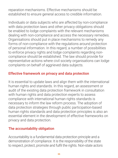reparation mechanisms. Effective mechanisms should be established to ensure general access to credible information.

Individuals or data subjects who are affected by non-compliance with data protection laws and other privacy obligations should be enabled to lodge complaints with the relevant mechanisms dealing with non-compliance and access the necessary remedies. Organisations should put in place mechanisms to remedy any forms of non-compliance with the regulations around protection of personal information. In this regard, a number of possibilities to enforce privacy rights and lodge complaints regarding noncompliance should be established. The law should provide for representative actions where civil society organisations can lodge

It is essential to update laws and align them with the international human rights and standards. In this regard, an assessment or audit of the existing data protection framework in consultation with human rights and data protection experts to assess compliance with international human rights standards is necessary to inform the law reform process. The adoption of data protection strategies through public participation-based human rights standards and data protection principles is also an essential element in the development of effective frameworks on privacy and data protection.

complaints on behalf of aggrieved data subjects.

## Effective framework on privacy and data protection

## The accountability obligation

Accountability is a fundamental data protection principle and a demonstration of compliance. It is the responsibility of the state to respect, protect, promote and fulfil the rights. Non-state actors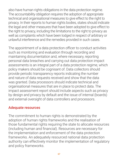also have human rights obligations in the data protection regime.

The accountability obligation requires the adoption of appropriate technical and organisational measures to give effect to the right to privacy. In their reports to human rights bodies, states should indicate the legal and other measures that have been adopted to give effect to the right to privacy, including the limitations to the right to privacy as well as complaints which have been lodged in respect of arbitrary or unlawful interference and the remedies provided in such cases.

The appointment of a data protection officer to conduct activities such as monitoring and evaluation through recording and maintaining documentation and, where necessary, reporting personal data breaches and carrying out data protection impact assessments is an integral part of a data protection regime, which policy makers should be cognisant of. Data collectors should provide periodic transparency reports indicating the number and nature of data requests received and show that the data was granted. Data processors should indicate technical and organisational measures that are in place to protect data. The impact assessment report should include aspects such as privacy by design and privacy by default and the issue of internal (boards) and external oversight of data controllers and processors.

## Adequate resources

The commitment to human rights is demonstrated by the adoption of human rights frameworks and the realisation of those fundamental rights requiring the state to allocate resources (including human and financial). Resources are necessary for the implementation and enforcement of the data protection frameworks. An adequately resourced national data protection authority can effectively monitor the implementation of regulatory and policy frameworks.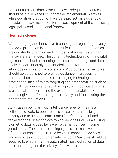For countries with data protection laws, adequate resources should be put in place to support the implementation efforts while countries that do not have data protection laws should provide adequate resources for the development of the necessary legal, policy and institutional framework.

# New technologies

With emerging and innovative technologies, regulating privacy and data protection is becoming difficult in that technologies are constantly changing and, in most instances, faster than the laws are amended. The dynamic technologies of the digital age such as cloud computing, the internet of things and data analytics continuously present challenges for data protection while posing risks for personal data. Appropriate frameworks should be established to provide guidance in processing personal data in the context of emerging technologies that have capabilities of micro-targeting and other profiling such as artificial intelligence and facial recognition. Rigorous analysis is essential in ascertaining the extent and capabilities of the technologies to affect the right to privacy and formulating the appropriate regulations.

As a case in point, artificial intelligence relies on the mass collection of data to operate. This collection is a challenge to privacy and to personal data protection. On the other hand, facial recognition technology, which identifies individuals using biometric data, is used by law enforcement offices in some jurisdictions. The internet of things generates massive amounts of data that can be transmitted between connected devices and machines without human intervention. Measures should be adopted to ensure that the automated mass collection of data does not infringe on the privacy of individuals.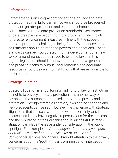## Enforcement

Enforcement is an integral component of a privacy and data protection regime. Enforcement powers should be broadened to provide greater protection and enhanced chances of compliance with the data protection standards. Occurrences of data breaches are becoming more prominent, which calls for greater enforcement measures in line with the scope of the data protection challenges being faced. Where necessary, adjustments should be made to powers and sanctions. These standards can be incorporated into the development of a new law or amendments can be made to existing laws. In this regard, legislation should empower state attorneys general and private citizens to pursue legal remedies and adequate resources should be given to institutions that are responsible for the enforcement.

# Strategic litigation

Strategic litigation is a tool for responding to unlawful restrictions on rights to privacy and data protection. It is another way of advancing the human rights-based approach to privacy and data protection. Through strategic litigation, laws can be changed and new precedents can be set. However, the challenge with strategic litigation is that it is costly, shrouded with uncertainty, and if unsuccessful, may have negative repercussions for the applicant and the reputation of their organisation. If successful, strategic litigation can place the issue under consideration in the public

spotlight. For example the *Amabhungane Centre for Investigative Journalism NPC and Another v Minister of Justice and Correctional Services and Others*<sup>90</sup> brought attention to the privacy concerns about the South African communication interception

<sup>90</sup> <http://www.saflii.org/za/cases/ZAGPPHC/2019/384.html>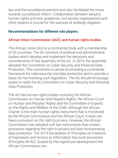law and the surveillance practice and also facilitated the move towards surveillance reform. Collaboration between lawyers, human rights activists, academia, civil society organisations and other experts is crucial for the success of strategic litigation.

# **Recommendations for different role players**

# African Union Commission (AUC) and human rights bodies

The African Union (AU) is a continental body with a membership of 55 countries. The AU consists of political and administrative bodies which develop and implement the decisions and commitments of the assembly of the AU. In 2014, the assembly adopted the Convention on Cyber Security and Personal Data Protection. This convention is aimed at providing a continental framework for cybersecurity and data protection and to provide a basis for harmonising such legislation. The AU should encourage states to ratify the AU Convention on Cyber Security and Personal Data Protection.

The AU has human rights bodies including the African Commission on Human and People's Rights, the African Court on Human and Peoples' Rights and the Committee of Experts on the Rights and Welfare of the Child. Although the African Charter is the main human rights instrument that is monitored by the African Commission and the African Court, it does not have a provision on the right to privacy. However, the African Commission has adopted soft law instruments that contain provisions regarding the right to privacy and also incorporating data protection. The 2019 Declaration of Principles on Freedom of Expression and Access to Information has such provisions (Principles 40-42). Guided by this significant development the African Commission can: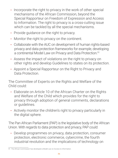- Incorporate the right to privacy in the work of other special mechanisms of the African Commission, beyond the Special Rapporteur on Freedom of Expression and Access to Information. The right to privacy is a cross-cutting issue which can be tackled by all the special mechanisms.
- Provide guidance on the right to privacy.
- Monitor the right to privacy on the continent.
- Collaborate with the AUC on development of human rights-based privacy and data protection frameworks for example, developing a continental Model Law on Privacy and Data Protection.<sup>91</sup>
- Assess the impact of violations on the right to privacy on other rights and develop Guidelines to states on its protection.
- Appoint a Special Rapporteur on the Right to Privacy and Data Protection.

- Elaborate on Article 10 of the African Charter on the Rights and Welfare of the Child which provides for the right to privacy through adoption of general comments, declarations or guidelines.
- Actively monitor the children's right to privacy particularly in the digital sphere.

The Committee of Experts on the Rights and Welfare of the Child could:

The Pan African Parliament (PAP) is the legislative body of the African Union. With regards to data protection and privacy, PAP could:

• Develop programmes on privacy, data protection, consumer protection, electronic commerce, cybercrime, the fourth industrial revolution and the implications of technology on

<sup>91</sup> The African Commission has developed a Model Law on Access to Information.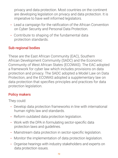privacy and data protection. Most countries on the continent are developing legislation on privacy and data protection. It is imperative to have well informed legislators.

- Lead a campaign for the ratification of the African Convention on Cyber Security and Personal Data Protection.
- Contribute to shaping of the fundamental data protection standards.

## Sub-regional bodies

- Develop data protection frameworks in line with international human rights law and standards.
- Reform outdated data protection legislation.
- Work with the DPA in formulating sector-specific data protection laws and guidelines.

These are the East African Community (EAC), Southern African Development Community (SADC) and the Economic Community of West African States (ECOWAS). The EAC adopted a framework for cyber law which includes provisions on data protection and privacy. The SADC adopted a Model Law on Data Protection, and the ECOWAS adopted a supplementary law on data protection that specifies principles and practices for data protection legislation.

# Policy makers

They could:

- Mainstream data protection in sector-specific legislation.
- Monitor the implementation of data protection legislation.
- Organise hearings with industry stakeholders and experts on data protection issues.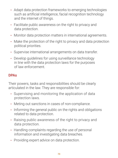- Adapt data protection frameworks to emerging technologies such as artificial intelligence, facial recognition technology and the internet of things.
- Facilitate public awareness on the right to privacy and data protection.
- Monitor data protection matters in international agreements.
- Make the protection of the right to privacy and data protection political priorities.
- Supervise international arrangements on data transfer.
- Develop guidelines for using surveillance technology in line with the data protection laws for the purposes

# of law enforcement.

#### DPAs

Their powers, tasks and responsibilities should be clearly articulated in the law. They are responsible for:

- Supervising and monitoring the application of data protection laws.
- Meting out sanctions in cases of non-compliance.
- Informing the general public on the rights and obligations related to data protection.
- Raising public awareness of the right to privacy and data protection.
- Handling complaints regarding the use of personal information and investigating data breaches.
- Providing expert advice on data protection.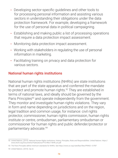- Developing sector-specific guidelines and other tools to for processing personal information and assisting various sectors in understanding their obligations under the data protection framework. For example, developing a framework for the use of personal data in political campaigning.
- Establishing and making public a list of processing operations that require a data protection impact assessment.
- Monitoring data protection impact assessment.
- Working with stakeholders in regulating the use of personal information in marketing.
- Facilitating training on privacy and data protection for

### National human rights institutions

National human rights institutions (NHRIs) are state institutions that are part of the state apparatus and conferred the mandate to protect and promote human rights.<sup>92</sup> They are established in terms of national laws, and ideally should be governed by the Paris Principles<sup>93</sup> and operate independently from the government. They monitor and investigate human rights violations. They vary in form and name depending on jurisdictions and on the region, legal tradition and common usage, for instance: civil rights protector, commissioner, human rights commission, human rights institute or centre, ombudsman, parliamentary ombudsman or commissioner for human rights and public defender/protector or

#### parliamentary advocate.<sup>94</sup>

92 United Nations. (2010). *National Human Rights Institutions: History, Principles, Roles and Responsibilities.* United Nations. [https://](https://www.ohchr.org/Documents/Publications/PTS-4Rev1-NHRI_en.pdf) [www.ohchr.org/Documents/Publications/PTS-4Rev1-NHRI\\_en.pdf](https://www.ohchr.org/Documents/Publications/PTS-4Rev1-NHRI_en.pdf)

93 The Paris Principles define minimum standards for NHRIs. See<https://www.un.org/ruleoflaw/files/PRINCI~5.PDF>

94 United Nations. (2010). Op.cit.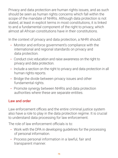75

Privacy and data protection are human rights issues, and as such

should be seen as human rights concerns which fall within the scope of the mandate of NHRIs. Although data protection is not stated, at least in explicit terms in most constitutions, it is linked to and a fundamental component of the right to privacy, which almost all African constitutions have in their constitutions.

In the context of privacy and data protection, a NHRI should:

• Work with the DPA in developing guidelines for the processing of personal information.

- Monitor and enforce government's compliance with the international and regional standards on privacy and data protection.
- Conduct civic education and raise awareness on the right to privacy and data protection.
- Include a section on the right to privacy and data protection in all human rights reports.
- Bridge the divide between privacy issues and other fundamental rights.
- Promote synergy between NHRIs and data protection authorities where these are separate entities.

#### Law and order

Law enforcement offices and the entire criminal justice system also have a role to play in the data protection regime. It is crucial to understand data processing for law enforcement.

The role of law enforcement officials is to:

• Process personal information in a lawful, fair and transparent manner.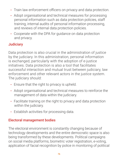- Train law enforcement officers on privacy and data protection.
- Adopt organisational and technical measures for processing personal information such as data protection policies, staff training, internal audits of personal information processing, and reviews of internal data protection policies.
- Cooperate with the DPA for guidance on data protection and privacy.

## **Judiciary**

Data protection is also crucial in the administration of justice by the judiciary. In this administration, personal information is exchanged, particularly with the adoption of e-justice initiatives. Data protection is also a tool that facilitates successful interaction and mutual trust between judiciary, law enforcement and other relevant actors in the justice system. The judiciary should:

- Ensure that the right to privacy is upheld.
- Adopt organisational and technical measures to reinforce the management of data within the judiciary.
- Facilitate training on the right to privacy and data protection within the judiciary.
- Establish activities for processing data.

## Electoral management bodies

The electoral environment is constantly changing because of technology developments and the entire democratic space is also being transformed by these developments. Political campaigns on social media platforms, biometric voter registration, e-voting, application of facial recognition by police in monitoring of political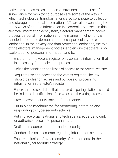activities such as rallies and demonstrations and the use of

surveillance for monitoring purposes are some of the ways in which technological transformations also contribute to collection and storage of personal information. ICTs are also expanding the many ways of sharing information in electoral processes. In this electoral information ecosystem, electoral management bodies process personal information and the manner in which this is handled affects the democratic process, particularly the electoral landscape. In the privacy and data protection landscape, the role of the electoral management bodies is to ensure that there is no exploitation of personal information and to:

- Ensure that the voters' register only contains information that is necessary for the electoral process.
- Define the conditions and limits of access to the voters' register.
- Regulate use and access to the voter's register. The law should be clear on access and purpose of processing information in the voter's register.
- Ensure that personal data that is shared in polling stations should be limited to identification of the voter and the voting process.
- Provide cybersecurity training for personnel.
- Put in place mechanisms for monitoring, detecting and responding to cybersecurity attacks.
- Put in place organisational and technical safeguards to curb unauthorised access to personal data.
- Dedicate resources for information security.

- Conduct risk assessments regarding information security.
- Ensure inclusion of cybersecurity of election data in the national cybersecurity strategy.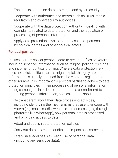- Enhance expertise on data protection and cybersecurity.
- Cooperate with authorities and actors such as DPAs, media regulators and cybersecurity authorities.
- Cooperate with the data protection authority in dealing with complaints related to data protection and the regulation of processing of personal information.
- Apply data protection laws to the processing of personal data by political parties and other political actors.

#### Political parties

Political parties collect personal data to create profiles on voters including sensitive information such as religion, political opinions and income for political profiling. Where a data protection law does not exist, political parties might exploit this grey area. Information is usually obtained from the electoral register and other sources. It is important for political parties to adhere to data protection principles in their processing of personal information during campaigns. In order to demonstrate a commitment to protecting personal information, political parties should:

- Be transparent about their data processing activities, including identifying the mechanisms they use to engage with voters (e.g. social media, websites, direct messaging through platforms like WhatsApp), how personal data is processed and providing access to data.
- Adopt and publish data protection policies.
- Carry out data protection audits and impact assessments.
- Establish a legal basis for each use of personal data (including any sensitive data).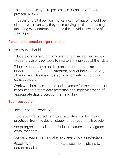- Ensure that use by third parties also complies with data protection laws.
- In cases of digital political marketing, information should be clear to voters on why they are receiving particular messages including explanations regarding the individual exercise of their rights.

#### Consumer protection organisations

These groups should:

- Integrate data protection into all activities and business practices, from the design stage right through the lifecycle.
- Adopt organisational and technical measures to safeguard
- Educate consumers on how best to familiarise themselves with and use privacy tools to improve the privacy of their data.
- Educate consumers on data protection to instil an understanding of data protection, particularly collection, sharing and storage of personal information, including sensitive data.
- Work with business entities and advocate for the adoption of measures to protect data (adoption and implementation of appropriate data protection frameworks).

#### Business sector

#### Businesses should work to:

# consumer data.

- Conduct regular training of employees on data protection.
- Regularly monitor and update data security systems to detect attacks.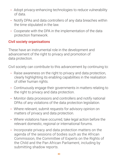- Adopt privacy-enhancing technologies to reduce vulnerability of data.
- Notify DPAs and data controllers of any data breaches within the time stipulated in the law.
- Cooperate with the DPA in the implementation of the data protection framework.

### Civil society organisations

These have an instrumental role in the development and advancement of the right to privacy and promotion of data protection.

Civil society can contribute to this advancement by continuing to:

- Raise awareness on the right to privacy and data protection, clearly highlighting its enabling capabilities in the realisation of other human rights.
- Continuously engage their governments in matters relating to the right to privacy and data protection.
- Monitor data processors and controllers and notify national DPAs of any violations of the data protection legislation.
- Where relevant, submit requests for advisory opinion on matters of privacy and data protection.
- Where violations have occurred, take legal action before the relevant domestic, regional or international forums.

• Incorporate privacy and data protection matters on the agenda of the sessions of bodies such as the African Commission, the Committee of Experts on the Rights of the Child and the Pan African Parliament, including by submitting shadow reports.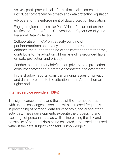- Actively participate in legal reforms that seek to amend or introduce comprehensive privacy and data protection legislation.
- Advocate for the enforcement of data protection legislation.
- Engage regional bodies like Pan African Parliament on the ratification of the African Convention on Cyber Security and Personal Data Protection.
- Collaborate with PAP on capacity building of parliamentarians on privacy and data protection to enhance their understanding of the matter so that that they contribute to the adoption of human-rights grounded laws on data protection and privacy.
	-
- Conduct parliamentary briefings on privacy, data protection, consumer protection, electronic commerce and cybercrime.
- In the shadow reports, consider bringing issues on privacy and data protection to the attention of the African human rights bodies.

## Internet service providers (ISPs)

The significance of ICTs and the use of the internet comes with unique challenges associated with increased frequency in processing of personal data for economic, social and other activities. These developments expedite the processing and exchange of personal data as well as increasing the risk and possibility of personal data being collected, processed and used without the data subject's consent or knowledge. 95

<sup>95</sup> <https://rm.coe.int/16805a39d5>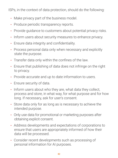ISPs, in the context of data protection, should do the following:

- Make privacy part of the business model.
- Produce periodic transparency reports.
- Provide guidance to customers about potential privacy risks.
- Inform users about security measures to enhance privacy.
- Ensure data integrity and confidentiality.
- Process personal data only when necessary and explicitly state the purpose.
- Transfer data only within the confines of the law.
- Ensure that publishing of data does not infringe on the right to privacy.
- Provide accurate and up to date information to users.
- Ensure security of data.
- Inform users about who they are, what data they collect, process and store, in what way, for what purpose and for how long. If necessary, ask for user's consent.
- Store data only for as long as is necessary to achieve the intended purpose.
- Only use data for promotional or marketing purposes after obtaining explicit consent.
- Address developments and expectations of corporations to

#### ensure that users are appropriately informed of how their data will be processed.

• Consider recent developments such as processing of personal information for AI purposes.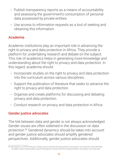- Publish transparency reports as a means of accountability and assessing the government's consumption of personal data possessed by private entities.
- Use access to information requests as a tool of seeking and obtaining this information.

#### Academia

Academic institutions play an important role in advancing the right to privacy and data protection in Africa. They provide a platform for undertaking research and debate on the subject. This role of academics helps in generating more knowledge and understanding about the right to privacy and data protection. In this regard, academia should:

- Incorporate studies on the right to privacy and data protection into the curriculum across various disciplines.
- Support the publication of literature that seeks to advance the right to privacy and data protection.
- Organise and create platforms for discussing and debating privacy and data protection.
- Conduct research on privacy and data protection in Africa.

#### Gender justice advocates

The link between data and gender is not always acknowledged. Gender issues are often sidelined in the discussion on data

### protection.96 Gendered dynamics should be taken into account and gender justice advocates should amplify gendered perspectives. Additionally, gender justice advocates should:

<sup>96</sup> Brandusescu, A. (2018 9 February). Gender must be central to the data protection conversation, not a side note. *World Wide Web Foundation.* <https://webfoundation.org/2018/02/gender-must-be-central-to-the-data-protection-conversation-not-a-side-note/>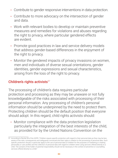- Contribute to gender responsive interventions in data protection.
- Contribute to more advocacy on the intersection of gender and data.
- Work with relevant bodies to develop or maintain preventive measures and remedies for violations and abuses regarding the right to privacy, where particular gendered effects are evident.
- Promote good practices in law and service delivery models that address gender-based differences in the enjoyment of the right to privacy.
- Monitor the gendered impacts of privacy invasions on women,

men and individuals of diverse sexual orientations, gender identities, gender expressions and sexual characteristics, arising from the loss of the right to privacy.

## Children's rights activists<sup>97</sup>

• Monitor compliance with the data protection legislation particularly the integration of the best interests of the child,

The processing of children's data requires particular protection and processing as they may be unaware or not fully knowledgeable of the risks associated with processing of their personal information. Any processing of children's personal information should be underpinned by the need to protect them. Protecting children should be the default position that everyone should adopt. In this regard, child rights activists should:

## as provided for by the United Nations Convention on the

97 According to Recital 38 of the GDPR, "Children require specific protection with regard to their personal data as they may be less aware of the risks, consequences and safeguards concerned and their rights in relation to the processing of personal data. Such specific protection should, in particular apply to the use of personal data of children for the purposes of marketing or creating personality or user profiles and the collection of personal data with regard to children when using services offered directly to a child. The consent of the holder of parental responsibility should not be necessary in the context of preventive or counselling services offered directly to a child."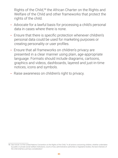Rights of the Child,<sup>98</sup> the African Charter on the Rights and Welfare of the Child and other frameworks that protect the rights of the child.

- Advocate for a lawful basis for processing a child's personal data in cases where there is none.
- Ensure that there is specific protection whenever children's personal data could be used for marketing purposes or creating personality or user profiles.
- Ensure that all frameworks on children's privacy are presented in a clear manner using plain, age-appropriate language. Formats should include diagrams, cartoons, graphics and videos, dashboards, layered and just-in-time notices, icons and symbols.
- Raise awareness on children's right to privacy.

98 See Article 3 of the United Nations Convention on the Rights of the Child, "In all actions concerning children, whether undertaken by public or private social welfare institutions, courts of law, administrative authorities or legislative bodies, the best interests of the child shall be a primary consideration."